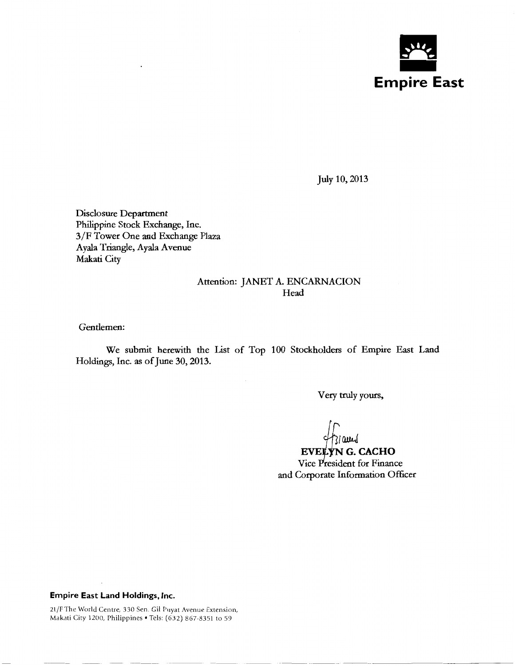

July 10, 2013

Disclosure Department Philippine Stock Exchange, Inc. 3/F Tower One and Exchange Plaza Ayala Triangle, Ayala Avenue Makati City

### Attention: JANET A. ENCARNACION Head

Gentlemen:

We submit herewith the List of Top 100 Stockholders of Empire East Land Holdings, Inc. as of June 30,2013.

Very truly yours,

 $\frac{1}{2}$  and CACHO Vice President for Finance and Corporate Information Officer

·-------- ------------------

### **Empire East Land Holdings, Inc.**

21 /F The World Centre, 330 Sen. Gil Puyat Avenue Extension, Makati City 1200, Philippines • Tels: (632) 867-8351 to 59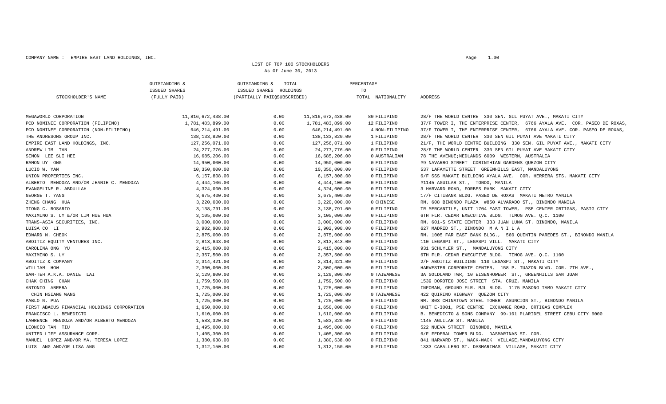COMPANY NAME: EMPIRE EAST LAND HOLDINGS, INC.

#### LIST OF TOP 100 STOCKHOLDERS As Of June 30, 2013

|                                             | OUTSTANDING &        | OUTSTANDING &<br>TOTAL      |                   | PERCENTAGE        |                                                                           |
|---------------------------------------------|----------------------|-----------------------------|-------------------|-------------------|---------------------------------------------------------------------------|
|                                             | <b>ISSUED SHARES</b> | ISSUED SHARES HOLDINGS      |                   | TO                |                                                                           |
| STOCKHOLDER'S NAME                          | (FULLY PAID)         | (PARTIALLY PAID(SUBSCRIBED) |                   | TOTAL NATIONALITY | ADDRESS                                                                   |
| MEGAWORLD CORPORATION                       | 11,816,672,438.00    | 0.00                        | 11,816,672,438.00 | 80 FILIPINO       | 28/F THE WORLD CENTRE 330 SEN. GIL PUYAT AVE., MAKATI CITY                |
| PCD NOMINEE CORPORATION (FILIPINO)          | 1,781,483,899.00     | 0.00                        | 1,781,483,899.00  | 12 FILIPINO       | 37/F TOWER I, THE ENTERPRISE CENTER, 6766 AYALA AVE. COR. PASEO DE ROXAS, |
| PCD NOMINEE CORPORATION (NON-FILIPINO)      | 646, 214, 491.00     | 0.00                        | 646, 214, 491.00  | 4 NON-FILIPINO    | 37/F TOWER I, THE ENTERPRISE CENTER, 6766 AYALA AVE. COR. PASEO DE ROXAS, |
| THE ANDRESONS GROUP INC.                    | 138,133,820.00       | 0.00                        | 138,133,820.00    | 1 FILIPINO        | 28/F THE WORLD CENTER 330 SEN GIL PUYAT AVE MAKATI CITY                   |
| EMPIRE EAST LAND HOLDINGS, INC.             | 127,256,071.00       | 0.00                        | 127,256,071.00    | 1 FILIPINO        | 21/F, THE WORLD CENTRE BUILDING 330 SEN. GIL PUYAT AVE., MAKATI CITY      |
| ANDREW LIM TAN                              | 24, 277, 776.00      | 0.00                        | 24,277,776.00     | 0 FILIPINO        | 28/F THE WORLD CENTER 330 SEN GIL PUYAT AVE MAKATI CITY                   |
| SIMON LEE SUI HEE                           | 16,685,206.00        | 0.00                        | 16,685,206.00     | 0 AUSTRALIAN      | 78 THE AVENUE; NEDLANDS 6009 WESTERN, AUSTRALIA                           |
| RAMON UY ONG                                | 14,950,000.00        | 0.00                        | 14,950,000.00     | 0 FILIPINO        | #9 NAVARRO STREET CORINTHIAN GARDENS QUEZON CITY                          |
| LUCIO W. YAN                                | 10,350,000.00        | 0.00                        | 10,350,000.00     | 0 FILIPINO        | 537 LAFAYETTE STREET GREENHILLS EAST, MANDALUYONG                         |
| UNION PROPERTIES INC.                       | 6,157,808.00         | 0.00                        | 6,157,808.00      | 0 FILIPINO        | 6/F SSS MAKATI BUILDING AYALA AVE. COR. HERRERA STS. MAKATI CITY          |
| ALBERTO MENDOZA AND/OR JEANIE C. MENDOZA    | 4,444,106.00         | 0.00                        | 4, 444, 106.00    | 0 FILIPINO        | #1145 AGUILAR ST., TONDO, MANILA                                          |
| EVANGELINE R. ABDULLAH                      | 4,324,000.00         | 0.00                        | 4,324,000.00      | 0 FILIPINO        | 3 HARVARD ROAD, FORBES PARK MAKATI CITY                                   |
| GEORGE T. YANG                              | 3,675,400.00         | 0.00                        | 3,675,400.00      | 0 FILIPINO        | 17/F CITIBANK BLDG. PASEO DE ROXAS MAKATI METRO MANILA                    |
| ZHENG CHANG HUA                             | 3,220,000.00         | 0.00                        | 3,220,000.00      | 0 CHINESE         | RM. 608 BINONDO PLAZA #850 ALVARADO ST., BINONDO MANILA                   |
| TIONG C. ROSARIO                            | 3,138,791.00         | 0.00                        | 3,138,791.00      | 0 FILIPINO        | TR MERCANTILE, UNIT 1704 EAST TOWER, PSE CENTER ORTIGAS, PASIG CITY       |
| MAXIMINO S. UY &/OR LIM HUE HUA             | 3,105,000.00         | 0.00                        | 3,105,000.00      | 0 FILIPINO        | 6TH FLR. CEDAR EXECUTIVE BLDG. TIMOG AVE. O.C. 1100                       |
| TRANS-ASIA SECURITIES, INC.                 | 3,000,000.00         | 0.00                        | 3,000,000.00      | 0 FILIPINO        | RM. 601-S STATE CENTER 333 JUAN LUNA ST. BINONDO, MANILA                  |
| LUISA CO LI                                 | 2,902,908.00         | 0.00                        | 2,902,908.00      | 0 FILIPINO        | 627 MADRID ST., BINONDO MANILA                                            |
| EDWARD N. CHEOK                             | 2,875,000.00         | 0.00                        | 2,875,000.00      | 0 FILIPINO        | RM. 1005 FAR EAST BANK BLDG., 560 QUINTIN PAREDES ST., BINONDO MANILA     |
| ABOITIZ EQUITY VENTURES INC.                | 2,813,843.00         | 0.00                        | 2,813,843.00      | 0 FILIPINO        | 110 LEGASPI ST., LEGASPI VILL. MAKATI CITY                                |
| CAROLINA ONG YU                             | 2,415,000.00         | 0.00                        | 2,415,000.00      | 0 FILIPINO        | 931 SCHUYLER ST., MANDALUYONG CITY                                        |
| MAXIMINO S. UY                              | 2,357,500.00         | 0.00                        | 2,357,500.00      | 0 FILIPINO        | 6TH FLR. CEDAR EXECUTIVE BLDG. TIMOG AVE. Q.C. 1100                       |
| ABOITIZ & COMPANY                           | 2,314,421.00         | 0.00                        | 2,314,421.00      | 0 FILIPINO        | 2/F ABOITIZ BUILDING 110 LEGASPI ST., MAKATI CITY                         |
| WILLIAM HOW                                 | 2,300,000.00         | 0.00                        | 2,300,000.00      | 0 FILIPINO        | HARVESTER CORPORATE CENTER, 158 P. TUAZON BLVD. COR. 7TH AVE.,            |
| SAN-TEH A.K.A. DANIE LAI                    | 2,129,800.00         | 0.00                        | 2,129,800.00      | 0 TAIWANESE       | 3A GOLDLAND TWR, 10 EISENHOWEER ST., GREENHILLS SAN JUAN                  |
| CHAK CHING CHAN                             | 1,759,500.00         | 0.00                        | 1,759,500.00      | 0 FILIPINO        | 1539 DOROTEO JOSE STREET STA. CRUZ, MANILA                                |
| ANTONIO ABRERA                              | 1,725,000.00         | 0.00                        | 1,725,000.00      | 0 FILIPINO        | INFOMAN, GROUND FLR. MJL BLDG. 1175 PASONG TAMO MAKATI CITY               |
| CHIN HSIANG WANG                            | 1,725,000.00         | 0.00                        | 1,725,000.00      | 0 TAIWANESE       | 422 QUIRINO HIGHWAY QUEZON CITY                                           |
| PABLO N. PUA                                | 1,725,000.00         | 0.00                        | 1,725,000.00      | 0 FILIPINO        | RM. 803 CHINATOWN STEEL TOWER ASUNCION ST., BINONDO MANILA                |
| FIRST ABACUS FINANCIAL HOLDINGS CORPORATION | 1,650,000.00         | 0.00                        | 1,650,000.00      | 0 FILIPINO        | UNIT E-3001, PSE CENTRE EXCHANGE ROAD, ORTIGAS COMPLEX                    |
| FRANCISCO L. BENEDICTO                      | 1,610,000.00         | 0.00                        | 1,610,000.00      | 0 FILIPINO        | B. BENEDICTO & SONS COMPANY 99-101 PLARIDEL STREET CEBU CITY 6000         |
| LAWRENCE MENDOZA AND/OR ALBERTO MENDOZA     | 1,583,320.00         | 0.00                        | 1,583,320.00      | 0 FILIPINO        | 1145 AGUILAR ST. MANILA                                                   |
| LEONCIO TAN TIU                             | 1,495,000.00         | 0.00                        | 1,495,000.00      | 0 FILIPINO        | 522 NUEVA STREET BINONDO, MANILA                                          |
| UNITED LIFE ASSURANCE CORP.                 | 1,405,300.00         | 0.00                        | 1,405,300.00      | 0 FILIPINO        | 6/F FEDERAL TOWER BLDG. DASMARINAS ST. COR.                               |
| MANUEL LOPEZ AND/OR MA. TERESA LOPEZ        | 1,380,638.00         | 0.00                        | 1,380,638.00      | 0 FILIPINO        | 841 HARVARD ST., WACK-WACK VILLAGE, MANDALUYONG CITY                      |
| LUIS ANG AND/OR LISA ANG                    | 1,312,150.00         | 0.00                        | 1,312,150.00      | 0 FILIPINO        | 1333 CABALLERO ST. DASMARINAS VILLAGE, MAKATI CITY                        |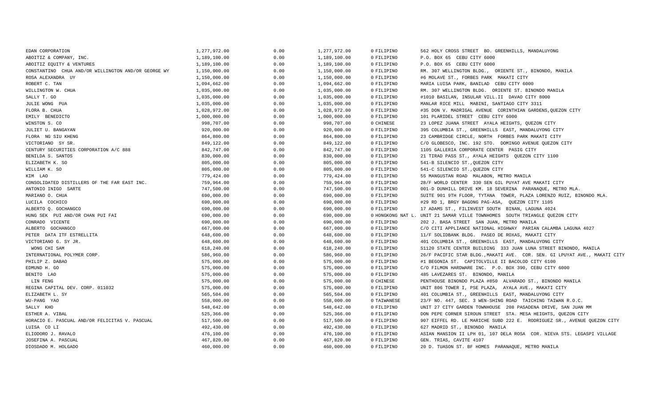| 1,277,972.00 | 0.00 | 1,277,972.00 | 0 FILIPINO  | 562 HOLY CROSS STREET BO. GREENHILLS, MANDALUYONG                          |
|--------------|------|--------------|-------------|----------------------------------------------------------------------------|
| 1,189,100.00 | 0.00 | 1,189,100.00 | 0 FILIPINO  | P.O. BOX 65 CEBU CITY 6000                                                 |
| 1,189,100.00 | 0.00 | 1,189,100.00 | 0 FILIPINO  | P.O. BOX 65 CEBU CITY 6000                                                 |
| 1,150,000.00 | 0.00 | 1,150,000.00 | 0 FILIPINO  | RM. 307 WELLINGTON BLDG., ORIENTE ST., BINONDO, MANILA                     |
| 1,150,000.00 | 0.00 | 1,150,000.00 | 0 FILIPINO  | #6 MOLAVE ST., FORBES PARK MAKATI CITY                                     |
| 1,094,662.00 | 0.00 | 1,094,662.00 | 0 FILIPINO  | MARIA LUISA PARK, BANILAD CEBU CITY 6000                                   |
| 1,035,000.00 | 0.00 | 1,035,000.00 | 0 FILIPINO  | RM. 307 WELLINGTON BLDG. ORIENTE ST. BINONDO MANILA                        |
| 1,035,000.00 | 0.00 | 1,035,000.00 | 0 FILIPINO  | #1010 BASILAN, INSULAR VILL.II DAVAO CITY 8000                             |
| 1,035,000.00 | 0.00 | 1,035,000.00 | 0 FILIPINO  | MANLAR RICE MILL MABINI, SANTIAGO CITY 3311                                |
| 1,028,972.00 | 0.00 | 1,028,972.00 | 0 FILIPINO  | #35 DON V. MADRIGAL AVENUE CORINTHIAN GARDENS, QUEZON CITY                 |
| 1,000,000.00 | 0.00 | 1,000,000.00 | 0 FILIPINO  | 101 PLARIDEL STREET CEBU CITY 6000                                         |
| 998,707.00   | 0.00 | 998,707.00   | 0 CHINESE   | 23 LOPEZ JUANA STREET AYALA HEIGHTS, QUEZON CITY                           |
| 920,000.00   | 0.00 | 920,000.00   | 0 FILIPINO  | 395 COLUMBIA ST., GREENHILLS EAST, MANDALUYONG CITY                        |
| 864,800.00   | 0.00 | 864,800.00   | 0 FILIPINO  | 23 CAMBRIDGE CIRCLE, NORTH FORBES PARK MAKATI CITY                         |
| 849,122.00   | 0.00 | 849,122.00   | 0 FILIPINO  | C/O GLOBESCO, INC. 192 STO. DOMINGO AVENUE QUEZON CITY                     |
| 842,747.00   | 0.00 | 842,747.00   | 0 FILIPINO  | 1105 GALLERIA CORPORATE CENTER PASIG CITY                                  |
| 830,000.00   | 0.00 | 830,000.00   | 0 FILIPINO  | 21 TIRAD PASS ST., AYALA HEIGHTS QUEZON CITY 1100                          |
| 805,000.00   | 0.00 | 805,000.00   | 0 FILIPINO  | 541-B SILENCIO ST., QUEZON CITY                                            |
| 805,000.00   | 0.00 | 805,000.00   | 0 FILIPINO  | 541-C SILENCIO ST., QUEZON CITY                                            |
| 779,424.00   | 0.00 | 779,424.00   | 0 FILIPINO  | 55 MANGUSTAN ROAD MALABON, METRO MANILA                                    |
| 759,964.00   | 0.00 | 759,964.00   | 0 FILIPINO  | 28/F WORLD CENTER 330 SEN GIL PUYAT AVE MAKATI CITY                        |
| 747,500.00   | 0.00 | 747,500.00   | 0 FILIPINO  | 001-D DUNHILL DRIVE KM. 18 SEVERINA PARANAQUE, METRO MLA.                  |
| 690,000.00   | 0.00 | 690,000.00   | 0 FILIPINO  | SUITE 901 9TH FLOOR, TYTANA TOWER, PLAZA LORENZO RUIZ, BINONDO MLA.        |
| 690,000.00   | 0.00 | 690,000.00   | 0 FILIPINO  | #29 RD 1, BRGY BAGONG PAG-ASA, QUEZON CITY 1105                            |
| 690,000.00   | 0.00 | 690,000.00   | 0 FILIPINO  | 17 ADAMS ST., FILINVEST SOUTH BINAN, LAGUNA 4024                           |
| 690,000.00   | 0.00 | 690,000.00   |             | 0 HONGKONG NAT L. UNIT 21 SAMAR VILLE TOWNHOMES SOUTH TRIANGLE QUEZON CITY |
| 690,000.00   | 0.00 | 690,000.00   | 0 FILIPINO  | 202 J. BASA STREET SAN JUAN, METRO MANILA                                  |
| 667,000.00   | 0.00 | 667,000.00   | 0 FILIPINO  | C/O CITI APPLIANCE NATIONAL HIGHWAY PARIAN CALAMBA LAGUNA 4027             |
| 648,600.00   | 0.00 | 648,600.00   | 0 FILIPINO  | 11/F SOLIDBANK BLDG. PASEO DE ROXAS, MAKATI CITY                           |
| 648,600.00   | 0.00 | 648,600.00   | 0 FILIPINO  | 401 COLUMBIA ST., GREENHILLS EAST, MANDALUYONG CITY                        |
| 618,240.00   | 0.00 | 618,240.00   | 0 FILIPINO  | S1120 STATE CENTER BUILDING 333 JUAN LUNA STREET BINONDO, MANILA           |
| 586,960.00   | 0.00 | 586,960.00   | 0 FILIPINO  | 26/F PACIFIC STAR BLDG., MAKATI AVE. COR. SEN. GI LPUYAT AVE., MAKATI CITY |
| 575,000.00   | 0.00 | 575,000.00   | 0 FILIPINO  | #1 BEGONIA ST. CAPITOLVILLE II BACOLOD CITY 6100                           |
| 575,000.00   | 0.00 | 575,000.00   | 0 FILIPINO  | C/O FILMON HARDWARE INC. P.O. BOX 390, CEBU CITY 6000                      |
| 575,000.00   | 0.00 | 575,000.00   | 0 FILIPINO  | 485 LAVEZARES ST. BINONDO, MANILA                                          |
| 575,000.00   | 0.00 | 575,000.00   | 0 CHINESE   | PENTHOUSE BINONDO PLAZA #850 ALVARADO ST., BINONDO MANILA                  |
| 575,000.00   | 0.00 | 575,000.00   | 0 FILIPINO  | UNIT 806 TOWER I, PSE PLAZA, AYALA AVE., MAKATI CITY                       |
| 565,504.00   | 0.00 | 565,504.00   | 0 FILIPINO  | 401 COLUMBIA ST., GREENHILLS EAST, MANDALUYONG CITY                        |
| 558,000.00   | 0.00 | 558,000.00   | 0 TAIWANESE | 23/F NO. 447, SEC. 3 WEN-SHING ROAD TAICHING TAIWAN R.O.C.                 |
| 548,642.00   | 0.00 | 548,642.00   | 0 FILIPINO  | UNIT 27 CITY GARDEN TOWNHOUSE 208 PASADENA DRIVE, SAN JUAN MM              |
| 525,366.00   | 0.00 | 525,366.00   | 0 FILIPINO  | DON PEPE CORNER SIROUN STREET STA. MESA HEIGHTS, QUEZON CITY               |
| 517,500.00   | 0.00 | 517,500.00   | 0 FILIPINO  | 907 EIFFEL RD. LE MARICHE SUBD 222 E. RODRIGUEZ SR., AVENUE QUEZON CITY    |
| 492,430.00   | 0.00 | 492,430.00   | 0 FILIPINO  | 627 MADRID ST., BINONDO MANILA                                             |
| 476,100.00   | 0.00 | 476,100.00   | 0 FILIPINO  | ASIAN MANSION II LPH 01, 107 DELA ROSA COR. NIEVA STS. LEGASPI VILLAGE     |
| 467,820.00   | 0.00 | 467,820.00   | 0 FILIPINO  | GEN. TRIAS, CAVITE 4107                                                    |
| 460,000.00   | 0.00 | 460,000.00   | 0 FILIPINO  | 20 D. TUASON ST. BF HOMES PARANAQUE, METRO MANILA                          |
|              |      |              |             |                                                                            |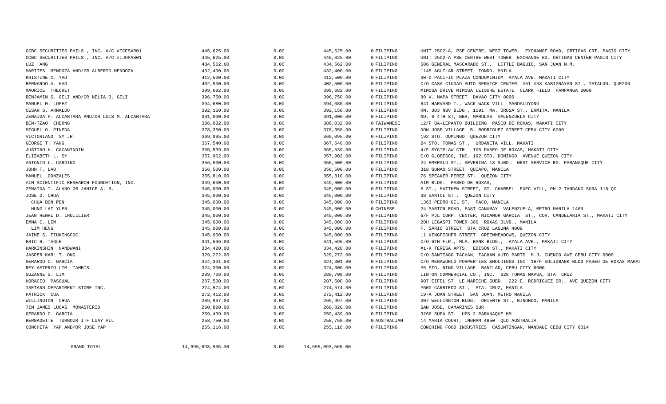| OCBC SECURITIES PHILS., INC. A/C #ICESAR01    | 445,625.00 | 0.00 | 445,625.00 | 0 FILIPINO   | UNIT 2502-A, PSE CENTRE, WEST TOWER, EXCHANGE ROAD, ORTIGAS CRT, PASIG CITY     |
|-----------------------------------------------|------------|------|------------|--------------|---------------------------------------------------------------------------------|
| OCBC SECURITIES PHILS., INC. A/C #IJOPAS01    | 445,625.00 | 0.00 | 445,625.00 | 0 FILIPINO   | UNIT 2502-A PSE CENTRE WEST TOWER EXCHANGE RD. ORTIGAS CENTER PASIG CITY        |
| LUZ ANG                                       | 434,562.00 | 0.00 | 434,562.00 | 0 FILIPINO   | 506 GENERAL MASCARADO ST., LITTLE BAGUIO, SAN JUAN M.M.                         |
| MARITES MENDOZA AND/OR ALBERTO MENDOZA        | 432,400.00 | 0.00 | 432,400.00 | 0 FILIPINO   | 1145 AGUILAR STREET TONDO, MNILA                                                |
| KRISTINE C. YAO                               | 412,500.00 | 0.00 | 412,500.00 | 0 FILIPINO   | 30-D PACIFIC PLAZA CONDOMINIUM AYALA AVE. MAKATI CITY                           |
| BERNARDO A. HAO                               | 402,500.00 | 0.00 | 402,500.00 | 0 FILIPINO   | C/O CASA CIUDAD AUTO SERVICE CENTER #51 #53 KABIGNAYAN ST., TATALON, QUEZON     |
| MAURICE THEORET                               | 399,682.00 | 0.00 | 399,682.00 | 0 FILIPINO   | MIMOSA DRIVE MIMOSA LEISURE ESTATE CLARK FIELD PAMPANGA 2009                    |
| BENJAMIN S. GELI AND/OR NELIA O. GELI         | 396,750.00 | 0.00 | 396,750.00 | 0 FILIPINO   | 80 V. MAPA STREET DAVAO CITY 8000                                               |
| MANUEL M. LOPEZ                               | 394,680.00 | 0.00 | 394,680.00 | 0 FILIPINO   | 841 HARVARD T., WACK WACK VILL MANDALUYONG                                      |
| CESAR S. ARNALDO                              | 392,150.00 | 0.00 | 392,150.00 | 0 FILIPINO   | RM. 303 NBV BLDG., 1191 MA. OROSA ST., ERMITA, MANILA                           |
| ZENAIDA P. ALCANTARA AND/OR LUIS M. ALCANTARA | 391,000.00 | 0.00 | 391,000.00 | 0 FILIPINO   | NO. 6 4TH ST, BBB, MARULAS VALENZUELA CITY                                      |
| BEN-TZAO CHERNG                               | 386,032.00 | 0.00 | 386,032.00 | 0 TAIWANESE  | 12/F BA-LEPANTO BUILDING PASEO DE ROXAS, MAKATI CITY                            |
| MIGUEL O. PINEDA                              | 378,350.00 | 0.00 | 378,350.00 | 0 FILIPINO   | DON JOSE VILLAGE B. RODRIGUEZ STREET CEBU CITY 6000                             |
| VICTORIANO SY JR.                             | 369,095.00 | 0.00 | 369,095.00 | 0 FILIPINO   | 192 STO. DOMINGO QUEZON CITY                                                    |
| GEORGE T. YANG                                | 367,540.00 | 0.00 | 367,540.00 | 0 FILIPINO   | 24 STO. TOMAS ST., URDANETA VILL. MAKATI                                        |
| JUSTINO H. CACANINDIN                         | 365,539.00 | 0.00 | 365,539.00 | 0 FILIPINO   | 4/F SYCIPLAW CTR. 105 PASEO DE ROXAS, MAKATI CITY                               |
| ELIZABETH L. SY                               | 357,902.00 | 0.00 | 357,902.00 | 0 FILIPINO   | C/O GLOBESCO, INC. 192 STO. DOMINGO AVENUE QUEZON CITY                          |
| ANTONIO L. CARDINO                            | 356,500.00 | 0.00 | 356,500.00 | 0 FILIPINO   | 24 EMERALD ST., SEVERINA 18 SUBD. WEST SERVICE RD. PARANAQUE CITY               |
| JOHN T. LAO                                   | 356,500.00 | 0.00 | 356,500.00 | 0 FILIPINO   | 318 GUNAO STREET QUIAPO, MANILA                                                 |
| MANUEL GONZALES                               | 355,810.00 | 0.00 | 355,810.00 | 0 FILIPINO   | 76 SPEAKER PEREZ ST. QUEZON CITY                                                |
| AIM SCIENTIFIC RESEARCH FOUNDATION, INC.      | 349,600.00 | 0.00 | 349,600.00 | 0 FILIPINO   | AIM BLDG. PASEO DE ROXAS,                                                       |
| ZENAIDA I. ALANO OR JANICE A. R.              | 345,000.00 | 0.00 | 345,000.00 | 0 FILIPINO   | 6 ST., MATTHEW STREET, ST. CHARBEL EXEC VILL, PH 2 TANDANG SORA 116 QC          |
| JOSE D. CHUA                                  | 345,000.00 | 0.00 | 345,000.00 | 0 FILIPINO   | 38 SANTOL ST., OUEZON CITY                                                      |
| CHUA BON PEN                                  | 345,000.00 | 0.00 | 345,000.00 | 0 FILIPINO   | 1363 PEDRO GIL ST. PACO, MANILA                                                 |
| HUNG LAI YUEN                                 | 345,000.00 | 0.00 | 345,000.00 | 0 CHINESE    | 24 MARTON ROAD, EAST CANUMAY VALENZUELA, METRO MANILA 1469                      |
| JEAN HENRI D. LHUILLIER                       | 345,000.00 | 0.00 | 345,000.00 | 0 FILIPINO   | 6/F PJL CORP. CENTER, NICANOR GARCIA ST., COR. CANDELARIA ST., MAKATI CITY      |
| EMMA C. LIM                                   | 345,000.00 | 0.00 | 345,000.00 | 0 FILIPINO   | 20H LEGASPI TOWER 300 ROXAS BLVD., MANILA                                       |
| LIM HENG                                      | 345,000.00 | 0.00 | 345,000.00 | 0 FILIPINO   | F. SARIO STREET STA CRUZ LAGUNA 4009                                            |
| JAIME S. TIUKINGCOC                           | 345,000.00 | 0.00 | 345,000.00 | 0 FILIPINO   | 11 KINGFISHER STREET GREENMEADOWS, QUEZON CITY                                  |
| ERIC R. TAGLE                                 | 341,596.00 | 0.00 | 341,596.00 | 0 FILIPINO   | C/O 6TH FLR., MLA. BANK BLDG., AYALA AVE., MAKATI CITY                          |
| HARKINSHIN NANDWANI                           | 334,420.00 | 0.00 | 334,420.00 | 0 FILIPINO   | #1-K TERESA APTS. EDISON ST., MAKATI CITY                                       |
| JASPER KARL T. ONG                            | 329,272.00 | 0.00 | 329,272.00 | 0 FILIPINO   | C/O SANTIAGO TACHAN, TACHAN AUTO PARTS M.J. CUENCO AVE CEBU CITY 6000           |
| GERARDO C. GARCIA                             | 324,301.00 | 0.00 | 324,301.00 | 0 FILIPINO   | C/O MEGAWORLD PORPERTIES &HOLDINGS INC 16/F SOLIDBANK BLDG PASEO DE ROXAS MAKAT |
| REY ASTERIO LIM TAMBIS                        | 324,300.00 | 0.00 | 324,300.00 | 0 FILIPINO   | #5 STO. NINO VILLAGE BANILAD, CEBU CITY 6000                                    |
| SUZANNE S. LIM                                | 289,708.00 | 0.00 | 289,708.00 | 0 FILIPINO   | LINTON COMMERCIAL CO., INC. 628 TOMAS MAPUA, STA. CRUZ                          |
| HORACIO PASCUAL                               | 287,500.00 | 0.00 | 287,500.00 | 0 FILIPINO   | 907 EIFEL ST. LE MARICHE SUBD. 222 E. RODRIGUEZ SR., AVE QUEZON CITY            |
| ISETANN DEPARTMENT STORE INC.                 | 274,574.00 | 0.00 | 274,574.00 | 0 FILIPINO   | #600 CARRIEDO ST., STA. CRUZ, MANILA                                            |
| PATRICK CUA                                   | 272,412.00 | 0.00 | 272,412.00 | 0 FILIPINO   | 19-A JUAN STREET SAN JUAN, METRO MANILA                                         |
| WILLINGTON CHUA                               | 269,997.00 | 0.00 | 269,997.00 | 0 FILIPINO   | 307 WELLINGTON BLDG. ORIENTE ST., BINONDO, MANILA                               |
| TIM JAMES LUCAS MONASTERIO                    | 260,820.00 | 0.00 | 260,820.00 | 0 FILIPINO   | SAN JOSE, CAMARINES SUR                                                         |
| GERARDO C. GARCIA                             | 259,439.00 | 0.00 | 259,439.00 | 0 FILIPINO   | 3266 SUPA ST. UPS 2 PARANAQUE MM                                                |
| BERNADETTE TURNOUR ITF LUAY ALL               | 258,750.00 | 0.00 | 258,750.00 | 0 AUSTRALIAN | 14 MARIA COURT, INGHAM 4850 OLD AUSTRALIA                                       |
| CONCHITA YAP AND/OR JOSE YAP                  | 255,116.00 | 0.00 | 255,116.00 | 0 FILIPINO   | CONCHING FOOD INDUSTRIES CASUNTINGAN, MANDAUE CEBU CITY 6014                    |
|                                               |            |      |            |              |                                                                                 |

GRAND TOTAL

14,695,093,565.00 0.00 14,695,093,565.00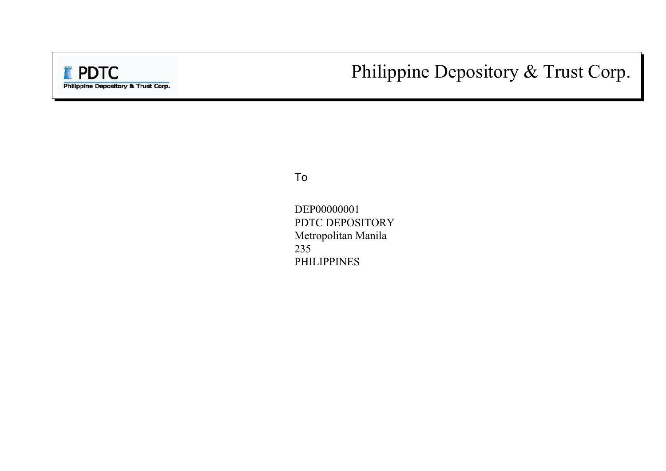# Philippine Depository & Trust Corp.

To

DEP00000001 PDTC DEPOSITORY Metropolitan Manila 235 PHILIPPINES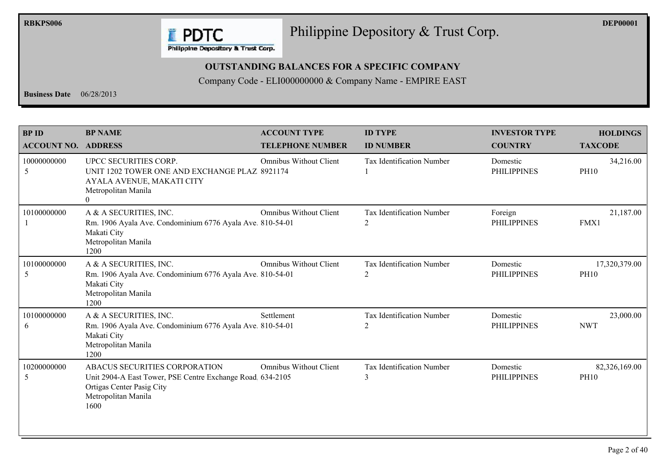

# Philippine Depository & Trust Corp.

## **OUTSTANDING BALANCES FOR A SPECIFIC COMPANY**

| <b>Business Date</b> $06/28/2013$          |                                                                                                                                                         |                                                | Company Code - ELI000000000 & Company Name - EMPIRE EAST |                                        |                                   |
|--------------------------------------------|---------------------------------------------------------------------------------------------------------------------------------------------------------|------------------------------------------------|----------------------------------------------------------|----------------------------------------|-----------------------------------|
| <b>BP ID</b><br><b>ACCOUNT NO. ADDRESS</b> | <b>BP NAME</b>                                                                                                                                          | <b>ACCOUNT TYPE</b><br><b>TELEPHONE NUMBER</b> | <b>ID TYPE</b><br><b>ID NUMBER</b>                       | <b>INVESTOR TYPE</b><br><b>COUNTRY</b> | <b>HOLDINGS</b><br><b>TAXCODE</b> |
| 10000000000<br>5                           | UPCC SECURITIES CORP.<br>UNIT 1202 TOWER ONE AND EXCHANGE PLAZ 8921174<br>AYALA AVENUE, MAKATI CITY<br>Metropolitan Manila<br>$\theta$                  | Omnibus Without Client                         | Tax Identification Number                                | Domestic<br><b>PHILIPPINES</b>         | 34,216.00<br><b>PH10</b>          |
| 10100000000                                | A & A SECURITIES, INC.<br>Rm. 1906 Ayala Ave. Condominium 6776 Ayala Ave. 810-54-01<br>Makati City<br>Metropolitan Manila<br>1200                       | Omnibus Without Client                         | Tax Identification Number<br>2                           | Foreign<br><b>PHILIPPINES</b>          | 21,187.00<br>FMX1                 |
| 10100000000<br>-5                          | A & A SECURITIES, INC.<br>Rm. 1906 Ayala Ave. Condominium 6776 Ayala Ave. 810-54-01<br>Makati City<br>Metropolitan Manila<br>1200                       | <b>Omnibus Without Client</b>                  | Tax Identification Number<br>2                           | Domestic<br><b>PHILIPPINES</b>         | 17,320,379.00<br><b>PH10</b>      |
| 10100000000<br>-6                          | A & A SECURITIES, INC.<br>Rm. 1906 Ayala Ave. Condominium 6776 Ayala Ave. 810-54-01<br>Makati City<br>Metropolitan Manila<br>1200                       | Settlement                                     | Tax Identification Number<br>$\overline{2}$              | Domestic<br><b>PHILIPPINES</b>         | 23,000.00<br><b>NWT</b>           |
| 10200000000<br>5                           | ABACUS SECURITIES CORPORATION<br>Unit 2904-A East Tower, PSE Centre Exchange Road, 634-2105<br>Ortigas Center Pasig City<br>Metropolitan Manila<br>1600 | <b>Omnibus Without Client</b>                  | Tax Identification Number<br>$\overline{3}$              | Domestic<br><b>PHILIPPINES</b>         | 82,326,169.00<br><b>PH10</b>      |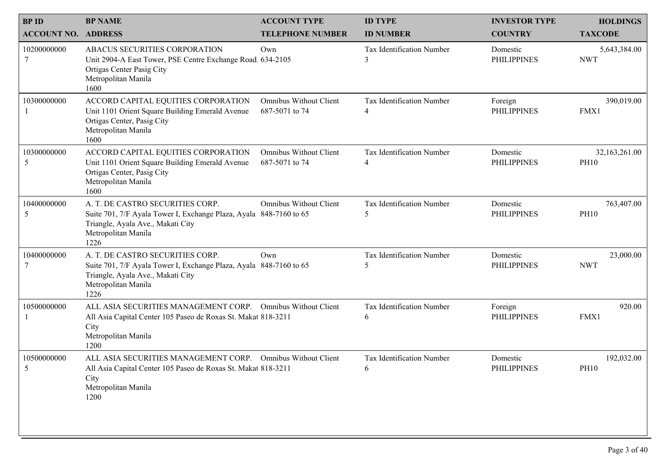| <b>BPID</b>                | <b>BP NAME</b>                                                                                                                                                             | <b>ACCOUNT TYPE</b>                             | <b>ID TYPE</b>                            | <b>INVESTOR TYPE</b>           | <b>HOLDINGS</b>              |
|----------------------------|----------------------------------------------------------------------------------------------------------------------------------------------------------------------------|-------------------------------------------------|-------------------------------------------|--------------------------------|------------------------------|
| <b>ACCOUNT NO. ADDRESS</b> |                                                                                                                                                                            | <b>TELEPHONE NUMBER</b>                         | <b>ID NUMBER</b>                          | <b>COUNTRY</b>                 | <b>TAXCODE</b>               |
| 10200000000                | ABACUS SECURITIES CORPORATION<br>Unit 2904-A East Tower, PSE Centre Exchange Road, 634-2105<br>Ortigas Center Pasig City<br>Metropolitan Manila<br>1600                    | Own                                             | Tax Identification Number<br>$\mathbf{3}$ | Domestic<br><b>PHILIPPINES</b> | 5,643,384.00<br><b>NWT</b>   |
| 10300000000                | ACCORD CAPITAL EQUITIES CORPORATION<br>Unit 1101 Orient Square Building Emerald Avenue<br>Ortigas Center, Pasig City<br>Metropolitan Manila<br>1600                        | <b>Omnibus Without Client</b><br>687-5071 to 74 | Tax Identification Number<br>4            | Foreign<br><b>PHILIPPINES</b>  | 390,019.00<br>FMX1           |
| 10300000000<br>5           | ACCORD CAPITAL EQUITIES CORPORATION<br>Unit 1101 Orient Square Building Emerald Avenue<br>Ortigas Center, Pasig City<br>Metropolitan Manila<br>1600                        | <b>Omnibus Without Client</b><br>687-5071 to 74 | Tax Identification Number<br>4            | Domestic<br><b>PHILIPPINES</b> | 32,163,261.00<br><b>PH10</b> |
| 10400000000<br>5           | A. T. DE CASTRO SECURITIES CORP.<br>Suite 701, 7/F Ayala Tower I, Exchange Plaza, Ayala 848-7160 to 65<br>Triangle, Ayala Ave., Makati City<br>Metropolitan Manila<br>1226 | <b>Omnibus Without Client</b>                   | Tax Identification Number<br>5            | Domestic<br><b>PHILIPPINES</b> | 763,407.00<br><b>PH10</b>    |
| 10400000000                | A. T. DE CASTRO SECURITIES CORP.<br>Suite 701, 7/F Ayala Tower I, Exchange Plaza, Ayala 848-7160 to 65<br>Triangle, Ayala Ave., Makati City<br>Metropolitan Manila<br>1226 | Own                                             | Tax Identification Number<br>5            | Domestic<br><b>PHILIPPINES</b> | 23,000.00<br><b>NWT</b>      |
| 10500000000                | ALL ASIA SECURITIES MANAGEMENT CORP. Omnibus Without Client<br>All Asia Capital Center 105 Paseo de Roxas St. Makat 818-3211<br>City<br>Metropolitan Manila<br>1200        |                                                 | Tax Identification Number<br>6            | Foreign<br><b>PHILIPPINES</b>  | 920.00<br>FMX1               |
| 10500000000<br>5           | ALL ASIA SECURITIES MANAGEMENT CORP. Omnibus Without Client<br>All Asia Capital Center 105 Paseo de Roxas St. Makat 818-3211<br>City<br>Metropolitan Manila<br>1200        |                                                 | Tax Identification Number<br>6            | Domestic<br><b>PHILIPPINES</b> | 192,032.00<br><b>PH10</b>    |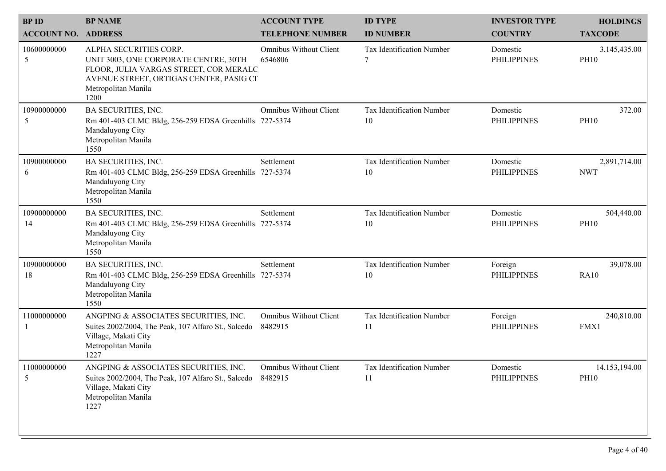| <b>BPID</b><br><b>ACCOUNT NO. ADDRESS</b> | <b>BP NAME</b>                                                                                                                                                                      | <b>ACCOUNT TYPE</b><br><b>TELEPHONE NUMBER</b> | <b>ID TYPE</b><br><b>ID NUMBER</b> | <b>INVESTOR TYPE</b><br><b>COUNTRY</b> | <b>HOLDINGS</b><br><b>TAXCODE</b> |
|-------------------------------------------|-------------------------------------------------------------------------------------------------------------------------------------------------------------------------------------|------------------------------------------------|------------------------------------|----------------------------------------|-----------------------------------|
| 10600000000<br>5                          | ALPHA SECURITIES CORP.<br>UNIT 3003, ONE CORPORATE CENTRE, 30TH<br>FLOOR, JULIA VARGAS STREET, COR MERALC<br>AVENUE STREET, ORTIGAS CENTER, PASIG CI<br>Metropolitan Manila<br>1200 | <b>Omnibus Without Client</b><br>6546806       | Tax Identification Number          | Domestic<br><b>PHILIPPINES</b>         | 3,145,435.00<br><b>PH10</b>       |
| 10900000000<br>5                          | <b>BA SECURITIES, INC.</b><br>Rm 401-403 CLMC Bldg, 256-259 EDSA Greenhills 727-5374<br>Mandaluyong City<br>Metropolitan Manila<br>1550                                             | Omnibus Without Client                         | Tax Identification Number<br>10    | Domestic<br><b>PHILIPPINES</b>         | 372.00<br><b>PH10</b>             |
| 10900000000<br>6                          | BA SECURITIES, INC.<br>Rm 401-403 CLMC Bldg, 256-259 EDSA Greenhills 727-5374<br>Mandaluyong City<br>Metropolitan Manila<br>1550                                                    | Settlement                                     | Tax Identification Number<br>10    | Domestic<br><b>PHILIPPINES</b>         | 2,891,714.00<br><b>NWT</b>        |
| 10900000000<br>14                         | BA SECURITIES, INC.<br>Rm 401-403 CLMC Bldg, 256-259 EDSA Greenhills 727-5374<br>Mandaluyong City<br>Metropolitan Manila<br>1550                                                    | Settlement                                     | Tax Identification Number<br>10    | Domestic<br><b>PHILIPPINES</b>         | 504,440.00<br><b>PH10</b>         |
| 10900000000<br>18                         | BA SECURITIES, INC.<br>Rm 401-403 CLMC Bldg, 256-259 EDSA Greenhills 727-5374<br>Mandaluyong City<br>Metropolitan Manila<br>1550                                                    | Settlement                                     | Tax Identification Number<br>10    | Foreign<br><b>PHILIPPINES</b>          | 39,078.00<br><b>RA10</b>          |
| 11000000000                               | ANGPING & ASSOCIATES SECURITIES, INC.<br>Suites 2002/2004, The Peak, 107 Alfaro St., Salcedo<br>Village, Makati City<br>Metropolitan Manila<br>1227                                 | Omnibus Without Client<br>8482915              | Tax Identification Number<br>11    | Foreign<br><b>PHILIPPINES</b>          | 240,810.00<br>FMX1                |
| 11000000000<br>5                          | ANGPING & ASSOCIATES SECURITIES, INC.<br>Suites 2002/2004, The Peak, 107 Alfaro St., Salcedo<br>Village, Makati City<br>Metropolitan Manila<br>1227                                 | Omnibus Without Client<br>8482915              | Tax Identification Number<br>11    | Domestic<br><b>PHILIPPINES</b>         | 14,153,194.00<br><b>PH10</b>      |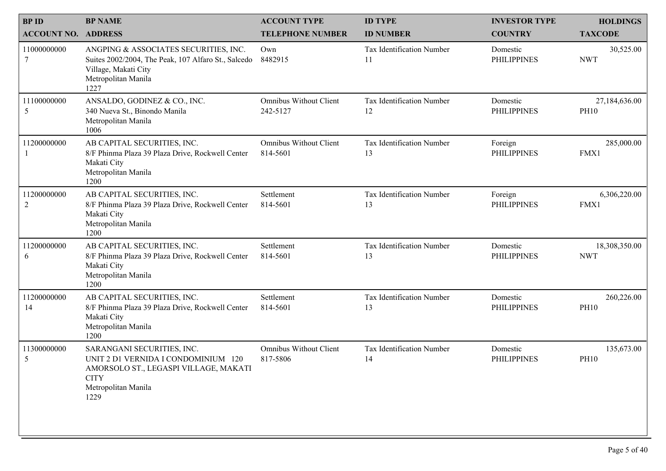| <b>BPID</b><br><b>ACCOUNT NO. ADDRESS</b> | <b>BP NAME</b>                                                                                                                                           | <b>ACCOUNT TYPE</b><br><b>TELEPHONE NUMBER</b> | <b>ID TYPE</b><br><b>ID NUMBER</b> | <b>INVESTOR TYPE</b><br><b>COUNTRY</b> | <b>HOLDINGS</b><br><b>TAXCODE</b> |
|-------------------------------------------|----------------------------------------------------------------------------------------------------------------------------------------------------------|------------------------------------------------|------------------------------------|----------------------------------------|-----------------------------------|
| 11000000000<br>7                          | ANGPING & ASSOCIATES SECURITIES, INC.<br>Suites 2002/2004, The Peak, 107 Alfaro St., Salcedo<br>Village, Makati City<br>Metropolitan Manila<br>1227      | Own<br>8482915                                 | Tax Identification Number<br>11    | Domestic<br><b>PHILIPPINES</b>         | 30,525.00<br><b>NWT</b>           |
| 11100000000<br>5                          | ANSALDO, GODINEZ & CO., INC.<br>340 Nueva St., Binondo Manila<br>Metropolitan Manila<br>1006                                                             | <b>Omnibus Without Client</b><br>242-5127      | Tax Identification Number<br>12    | Domestic<br><b>PHILIPPINES</b>         | 27,184,636.00<br><b>PH10</b>      |
| 11200000000                               | AB CAPITAL SECURITIES, INC.<br>8/F Phinma Plaza 39 Plaza Drive, Rockwell Center<br>Makati City<br>Metropolitan Manila<br>1200                            | <b>Omnibus Without Client</b><br>814-5601      | Tax Identification Number<br>13    | Foreign<br><b>PHILIPPINES</b>          | 285,000.00<br>FMX1                |
| 11200000000<br>$\overline{2}$             | AB CAPITAL SECURITIES, INC.<br>8/F Phinma Plaza 39 Plaza Drive, Rockwell Center<br>Makati City<br>Metropolitan Manila<br>1200                            | Settlement<br>814-5601                         | Tax Identification Number<br>13    | Foreign<br><b>PHILIPPINES</b>          | 6,306,220.00<br>FMX1              |
| 11200000000<br>6                          | AB CAPITAL SECURITIES, INC.<br>8/F Phinma Plaza 39 Plaza Drive, Rockwell Center<br>Makati City<br>Metropolitan Manila<br>1200                            | Settlement<br>814-5601                         | Tax Identification Number<br>13    | Domestic<br><b>PHILIPPINES</b>         | 18,308,350.00<br><b>NWT</b>       |
| 11200000000<br>14                         | AB CAPITAL SECURITIES, INC.<br>8/F Phinma Plaza 39 Plaza Drive, Rockwell Center<br>Makati City<br>Metropolitan Manila<br>1200                            | Settlement<br>814-5601                         | Tax Identification Number<br>13    | Domestic<br><b>PHILIPPINES</b>         | 260,226.00<br><b>PH10</b>         |
| 11300000000<br>5                          | SARANGANI SECURITIES, INC.<br>UNIT 2 D1 VERNIDA I CONDOMINIUM 120<br>AMORSOLO ST., LEGASPI VILLAGE, MAKATI<br><b>CITY</b><br>Metropolitan Manila<br>1229 | <b>Omnibus Without Client</b><br>817-5806      | Tax Identification Number<br>14    | Domestic<br><b>PHILIPPINES</b>         | 135,673.00<br><b>PH10</b>         |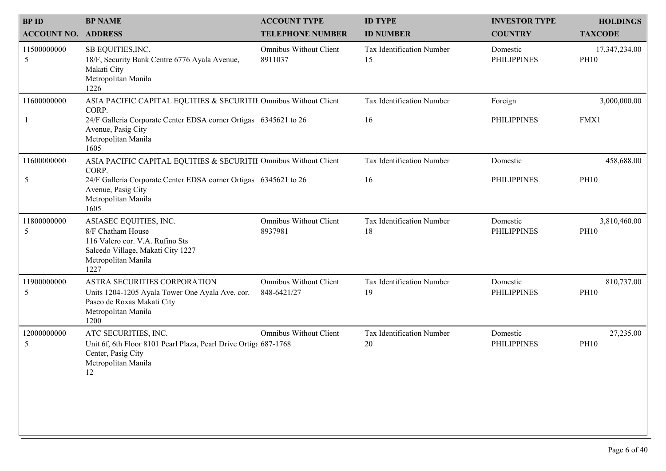| <b>BPID</b>                | <b>BP NAME</b>                                                                                                                                                                                     | <b>ACCOUNT TYPE</b>                      | <b>ID TYPE</b>                  | <b>INVESTOR TYPE</b>           | <b>HOLDINGS</b>              |
|----------------------------|----------------------------------------------------------------------------------------------------------------------------------------------------------------------------------------------------|------------------------------------------|---------------------------------|--------------------------------|------------------------------|
| <b>ACCOUNT NO. ADDRESS</b> |                                                                                                                                                                                                    | <b>TELEPHONE NUMBER</b>                  | <b>ID NUMBER</b>                | <b>COUNTRY</b>                 | <b>TAXCODE</b>               |
| 11500000000<br>5           | SB EQUITIES, INC.<br>18/F, Security Bank Centre 6776 Ayala Avenue,<br>Makati City<br>Metropolitan Manila<br>1226                                                                                   | <b>Omnibus Without Client</b><br>8911037 | Tax Identification Number<br>15 | Domestic<br><b>PHILIPPINES</b> | 17,347,234.00<br><b>PH10</b> |
| 11600000000                | ASIA PACIFIC CAPITAL EQUITIES & SECURITII Omnibus Without Client<br>CORP.<br>24/F Galleria Corporate Center EDSA corner Ortigas 6345621 to 26<br>Avenue, Pasig City<br>Metropolitan Manila<br>1605 |                                          | Tax Identification Number<br>16 | Foreign<br><b>PHILIPPINES</b>  | 3,000,000.00<br>FMX1         |
| 11600000000<br>5           | ASIA PACIFIC CAPITAL EQUITIES & SECURITII Omnibus Without Client<br>CORP.<br>24/F Galleria Corporate Center EDSA corner Ortigas 6345621 to 26<br>Avenue, Pasig City<br>Metropolitan Manila<br>1605 |                                          | Tax Identification Number<br>16 | Domestic<br><b>PHILIPPINES</b> | 458,688.00<br><b>PH10</b>    |
| 11800000000<br>5           | ASIASEC EQUITIES, INC.<br>8/F Chatham House<br>116 Valero cor. V.A. Rufino Sts<br>Salcedo Village, Makati City 1227<br>Metropolitan Manila<br>1227                                                 | Omnibus Without Client<br>8937981        | Tax Identification Number<br>18 | Domestic<br><b>PHILIPPINES</b> | 3,810,460.00<br><b>PH10</b>  |
| 11900000000<br>5           | ASTRA SECURITIES CORPORATION<br>Units 1204-1205 Ayala Tower One Ayala Ave. cor.<br>Paseo de Roxas Makati City<br>Metropolitan Manila<br>1200                                                       | Omnibus Without Client<br>848-6421/27    | Tax Identification Number<br>19 | Domestic<br><b>PHILIPPINES</b> | 810,737.00<br><b>PH10</b>    |
| 12000000000<br>5           | ATC SECURITIES, INC.<br>Unit 6f, 6th Floor 8101 Pearl Plaza, Pearl Drive Ortiga 687-1768<br>Center, Pasig City<br>Metropolitan Manila<br>12                                                        | Omnibus Without Client                   | Tax Identification Number<br>20 | Domestic<br><b>PHILIPPINES</b> | 27,235.00<br><b>PH10</b>     |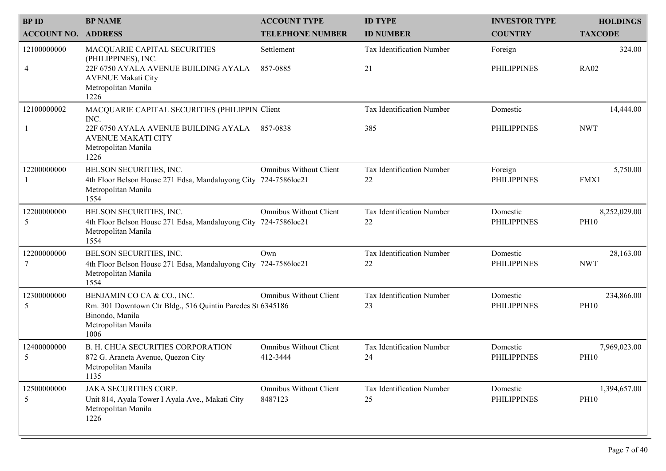| <b>BPID</b>                | <b>BP NAME</b>                                                                                                                             | <b>ACCOUNT TYPE</b>                | <b>ID TYPE</b>                  | <b>INVESTOR TYPE</b>           | <b>HOLDINGS</b>             |
|----------------------------|--------------------------------------------------------------------------------------------------------------------------------------------|------------------------------------|---------------------------------|--------------------------------|-----------------------------|
| <b>ACCOUNT NO. ADDRESS</b> |                                                                                                                                            | <b>TELEPHONE NUMBER</b>            | <b>ID NUMBER</b>                | <b>COUNTRY</b>                 | <b>TAXCODE</b>              |
| 12100000000<br>4           | MACQUARIE CAPITAL SECURITIES<br>(PHILIPPINES), INC.<br>22F 6750 AYALA AVENUE BUILDING AYALA                                                | Settlement<br>857-0885             | Tax Identification Number<br>21 | Foreign<br><b>PHILIPPINES</b>  | 324.00<br><b>RA02</b>       |
|                            | <b>AVENUE Makati City</b><br>Metropolitan Manila<br>1226                                                                                   |                                    |                                 |                                |                             |
| 12100000002                | MACQUARIE CAPITAL SECURITIES (PHILIPPIN Client<br>INC.                                                                                     |                                    | Tax Identification Number       | Domestic                       | 14,444.00                   |
|                            | 22F 6750 AYALA AVENUE BUILDING AYALA<br><b>AVENUE MAKATI CITY</b><br>Metropolitan Manila<br>1226                                           | 857-0838                           | 385                             | <b>PHILIPPINES</b>             | <b>NWT</b>                  |
| 12200000000                | BELSON SECURITIES, INC.<br>4th Floor Belson House 271 Edsa, Mandaluyong City 724-7586loc21<br>Metropolitan Manila<br>1554                  | <b>Omnibus Without Client</b>      | Tax Identification Number<br>22 | Foreign<br><b>PHILIPPINES</b>  | 5,750.00<br>FMX1            |
| 12200000000<br>5           | BELSON SECURITIES, INC.<br>4th Floor Belson House 271 Edsa, Mandaluyong City 724-7586loc21<br>Metropolitan Manila<br>1554                  | <b>Omnibus Without Client</b>      | Tax Identification Number<br>22 | Domestic<br><b>PHILIPPINES</b> | 8,252,029.00<br><b>PH10</b> |
| 12200000000                | BELSON SECURITIES, INC.<br>4th Floor Belson House 271 Edsa, Mandaluyong City 724-7586loc21<br>Metropolitan Manila<br>1554                  | Own                                | Tax Identification Number<br>22 | Domestic<br><b>PHILIPPINES</b> | 28,163.00<br><b>NWT</b>     |
| 12300000000<br>5           | BENJAMIN CO CA & CO., INC.<br>Rm. 301 Downtown Ctr Bldg., 516 Quintin Paredes St 6345186<br>Binondo, Manila<br>Metropolitan Manila<br>1006 | <b>Omnibus Without Client</b>      | Tax Identification Number<br>23 | Domestic<br><b>PHILIPPINES</b> | 234,866.00<br><b>PH10</b>   |
| 12400000000<br>5           | <b>B. H. CHUA SECURITIES CORPORATION</b><br>872 G. Araneta Avenue, Quezon City<br>Metropolitan Manila<br>1135                              | Omnibus Without Client<br>412-3444 | Tax Identification Number<br>24 | Domestic<br><b>PHILIPPINES</b> | 7,969,023.00<br><b>PH10</b> |
| 12500000000<br>5           | <b>JAKA SECURITIES CORP.</b><br>Unit 814, Ayala Tower I Ayala Ave., Makati City<br>Metropolitan Manila<br>1226                             | Omnibus Without Client<br>8487123  | Tax Identification Number<br>25 | Domestic<br><b>PHILIPPINES</b> | 1,394,657.00<br><b>PH10</b> |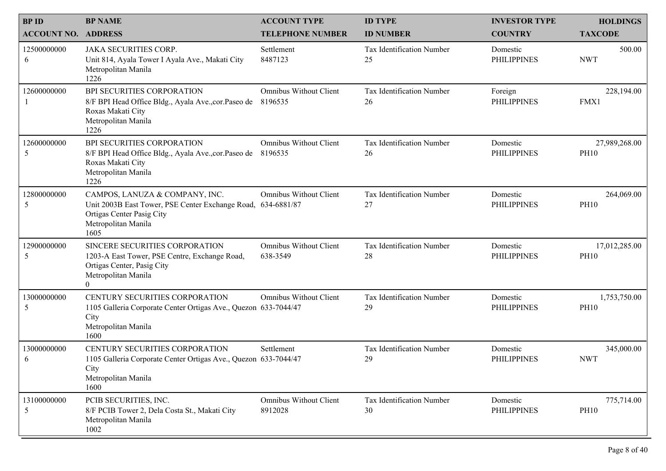| <b>BPID</b><br><b>ACCOUNT NO. ADDRESS</b> | <b>BP NAME</b>                                                                                                                                             | <b>ACCOUNT TYPE</b><br><b>TELEPHONE NUMBER</b> | <b>ID TYPE</b><br><b>ID NUMBER</b> | <b>INVESTOR TYPE</b><br><b>COUNTRY</b> | <b>HOLDINGS</b><br><b>TAXCODE</b> |
|-------------------------------------------|------------------------------------------------------------------------------------------------------------------------------------------------------------|------------------------------------------------|------------------------------------|----------------------------------------|-----------------------------------|
| 12500000000<br>6                          | <b>JAKA SECURITIES CORP.</b><br>Unit 814, Ayala Tower I Ayala Ave., Makati City<br>Metropolitan Manila<br>1226                                             | Settlement<br>8487123                          | Tax Identification Number<br>25    | Domestic<br><b>PHILIPPINES</b>         | 500.00<br><b>NWT</b>              |
| 12600000000                               | <b>BPI SECURITIES CORPORATION</b><br>8/F BPI Head Office Bldg., Ayala Ave., cor. Paseo de 8196535<br>Roxas Makati City<br>Metropolitan Manila<br>1226      | <b>Omnibus Without Client</b>                  | Tax Identification Number<br>26    | Foreign<br><b>PHILIPPINES</b>          | 228,194.00<br>FMX1                |
| 12600000000<br>5                          | <b>BPI SECURITIES CORPORATION</b><br>8/F BPI Head Office Bldg., Ayala Ave., cor. Paseo de<br>Roxas Makati City<br>Metropolitan Manila<br>1226              | <b>Omnibus Without Client</b><br>8196535       | Tax Identification Number<br>26    | Domestic<br><b>PHILIPPINES</b>         | 27,989,268.00<br><b>PH10</b>      |
| 12800000000<br>5                          | CAMPOS, LANUZA & COMPANY, INC.<br>Unit 2003B East Tower, PSE Center Exchange Road, 634-6881/87<br>Ortigas Center Pasig City<br>Metropolitan Manila<br>1605 | <b>Omnibus Without Client</b>                  | Tax Identification Number<br>27    | Domestic<br><b>PHILIPPINES</b>         | 264,069.00<br><b>PH10</b>         |
| 12900000000<br>5                          | SINCERE SECURITIES CORPORATION<br>1203-A East Tower, PSE Centre, Exchange Road,<br>Ortigas Center, Pasig City<br>Metropolitan Manila<br>$\overline{0}$     | <b>Omnibus Without Client</b><br>638-3549      | Tax Identification Number<br>28    | Domestic<br><b>PHILIPPINES</b>         | 17,012,285.00<br><b>PH10</b>      |
| 13000000000<br>5                          | CENTURY SECURITIES CORPORATION<br>1105 Galleria Corporate Center Ortigas Ave., Quezon 633-7044/47<br>City<br>Metropolitan Manila<br>1600                   | Omnibus Without Client                         | Tax Identification Number<br>29    | Domestic<br><b>PHILIPPINES</b>         | 1,753,750.00<br><b>PH10</b>       |
| 13000000000<br>6                          | CENTURY SECURITIES CORPORATION<br>1105 Galleria Corporate Center Ortigas Ave., Quezon 633-7044/47<br>City<br>Metropolitan Manila<br>1600                   | Settlement                                     | Tax Identification Number<br>29    | Domestic<br><b>PHILIPPINES</b>         | 345,000.00<br><b>NWT</b>          |
| 13100000000<br>5                          | PCIB SECURITIES, INC.<br>8/F PCIB Tower 2, Dela Costa St., Makati City<br>Metropolitan Manila<br>1002                                                      | Omnibus Without Client<br>8912028              | Tax Identification Number<br>30    | Domestic<br><b>PHILIPPINES</b>         | 775,714.00<br><b>PH10</b>         |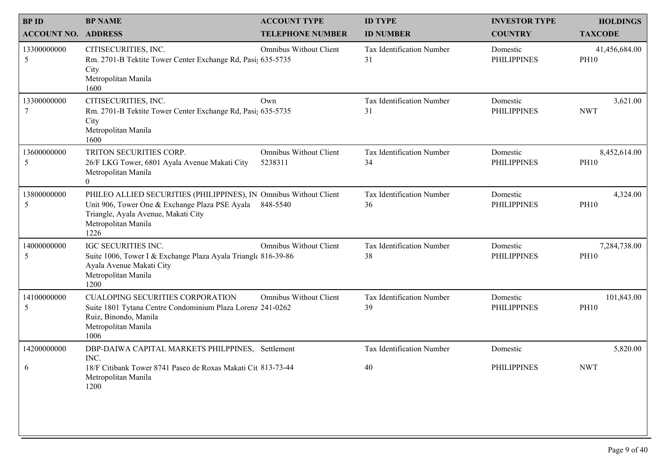| <b>BPID</b><br><b>ACCOUNT NO. ADDRESS</b> | <b>BP NAME</b>                                                                                                                                                                                     | <b>ACCOUNT TYPE</b><br><b>TELEPHONE NUMBER</b> | <b>ID TYPE</b><br><b>ID NUMBER</b> | <b>INVESTOR TYPE</b><br><b>COUNTRY</b> | <b>HOLDINGS</b><br><b>TAXCODE</b> |
|-------------------------------------------|----------------------------------------------------------------------------------------------------------------------------------------------------------------------------------------------------|------------------------------------------------|------------------------------------|----------------------------------------|-----------------------------------|
| 13300000000<br>5                          | CITISECURITIES, INC.<br>Rm. 2701-B Tektite Tower Center Exchange Rd, Pasi; 635-5735<br>City<br>Metropolitan Manila<br>1600                                                                         | <b>Omnibus Without Client</b>                  | Tax Identification Number<br>31    | Domestic<br><b>PHILIPPINES</b>         | 41,456,684.00<br><b>PH10</b>      |
| 13300000000                               | CITISECURITIES, INC.<br>Rm. 2701-B Tektite Tower Center Exchange Rd, Pasi; 635-5735<br>City<br>Metropolitan Manila<br>1600                                                                         | Own                                            | Tax Identification Number<br>31    | Domestic<br><b>PHILIPPINES</b>         | 3,621.00<br><b>NWT</b>            |
| 13600000000<br>5                          | TRITON SECURITIES CORP.<br>26/F LKG Tower, 6801 Ayala Avenue Makati City<br>Metropolitan Manila<br>$\overline{0}$                                                                                  | <b>Omnibus Without Client</b><br>5238311       | Tax Identification Number<br>34    | Domestic<br><b>PHILIPPINES</b>         | 8,452,614.00<br><b>PH10</b>       |
| 13800000000<br>5                          | PHILEO ALLIED SECURITIES (PHILIPPINES), IN Omnibus Without Client<br>Unit 906, Tower One & Exchange Plaza PSE Ayala 848-5540<br>Triangle, Ayala Avenue, Makati City<br>Metropolitan Manila<br>1226 |                                                | Tax Identification Number<br>36    | Domestic<br><b>PHILIPPINES</b>         | 4,324.00<br><b>PH10</b>           |
| 14000000000<br>5                          | IGC SECURITIES INC.<br>Suite 1006, Tower I & Exchange Plaza Ayala Triangle 816-39-86<br>Ayala Avenue Makati City<br>Metropolitan Manila<br>1200                                                    | <b>Omnibus Without Client</b>                  | Tax Identification Number<br>38    | Domestic<br><b>PHILIPPINES</b>         | 7,284,738.00<br><b>PH10</b>       |
| 14100000000<br>5                          | <b>CUALOPING SECURITIES CORPORATION</b><br>Suite 1801 Tytana Centre Condominium Plaza Lorenz 241-0262<br>Ruiz, Binondo, Manila<br>Metropolitan Manila<br>1006                                      | Omnibus Without Client                         | Tax Identification Number<br>39    | Domestic<br><b>PHILIPPINES</b>         | 101,843.00<br><b>PH10</b>         |
| 14200000000<br>6                          | DBP-DAIWA CAPITAL MARKETS PHILPPINES, Settlement<br>INC.<br>18/F Citibank Tower 8741 Paseo de Roxas Makati Cit 813-73-44<br>Metropolitan Manila<br>1200                                            |                                                | Tax Identification Number<br>40    | Domestic<br><b>PHILIPPINES</b>         | 5,820.00<br><b>NWT</b>            |
|                                           |                                                                                                                                                                                                    |                                                |                                    |                                        |                                   |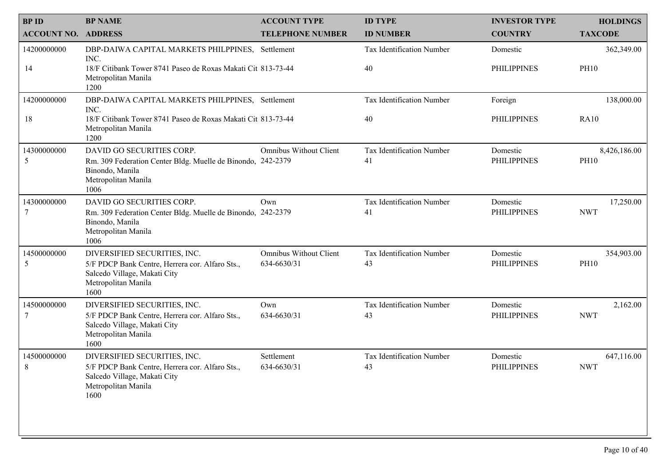| <b>BPID</b>                | <b>BP NAME</b>                                                                                                                                 | <b>ACCOUNT TYPE</b>                          | <b>ID TYPE</b>                  | <b>INVESTOR TYPE</b>           | <b>HOLDINGS</b>             |
|----------------------------|------------------------------------------------------------------------------------------------------------------------------------------------|----------------------------------------------|---------------------------------|--------------------------------|-----------------------------|
| <b>ACCOUNT NO. ADDRESS</b> |                                                                                                                                                | <b>TELEPHONE NUMBER</b>                      | <b>ID NUMBER</b>                | <b>COUNTRY</b>                 | <b>TAXCODE</b>              |
| 14200000000                | DBP-DAIWA CAPITAL MARKETS PHILPPINES, Settlement<br>INC.                                                                                       |                                              | Tax Identification Number       | Domestic                       | 362,349.00                  |
| 14                         | 18/F Citibank Tower 8741 Paseo de Roxas Makati Cit 813-73-44<br>Metropolitan Manila<br>1200                                                    |                                              | 40                              | <b>PHILIPPINES</b>             | <b>PH10</b>                 |
| 14200000000                | DBP-DAIWA CAPITAL MARKETS PHILPPINES, Settlement<br>INC.                                                                                       |                                              | Tax Identification Number       | Foreign                        | 138,000.00                  |
| 18                         | 18/F Citibank Tower 8741 Paseo de Roxas Makati Cit 813-73-44<br>Metropolitan Manila<br>1200                                                    |                                              | 40                              | <b>PHILIPPINES</b>             | <b>RA10</b>                 |
| 14300000000<br>5           | DAVID GO SECURITIES CORP.<br>Rm. 309 Federation Center Bldg. Muelle de Binondo, 242-2379<br>Binondo, Manila<br>Metropolitan Manila<br>1006     | <b>Omnibus Without Client</b>                | Tax Identification Number<br>41 | Domestic<br><b>PHILIPPINES</b> | 8,426,186.00<br><b>PH10</b> |
| 14300000000                | DAVID GO SECURITIES CORP.<br>Rm. 309 Federation Center Bldg. Muelle de Binondo, 242-2379<br>Binondo, Manila<br>Metropolitan Manila<br>1006     | Own                                          | Tax Identification Number<br>41 | Domestic<br><b>PHILIPPINES</b> | 17,250.00<br><b>NWT</b>     |
| 14500000000<br>5           | DIVERSIFIED SECURITIES, INC.<br>5/F PDCP Bank Centre, Herrera cor. Alfaro Sts.,<br>Salcedo Village, Makati City<br>Metropolitan Manila<br>1600 | <b>Omnibus Without Client</b><br>634-6630/31 | Tax Identification Number<br>43 | Domestic<br><b>PHILIPPINES</b> | 354,903.00<br><b>PH10</b>   |
| 14500000000                | DIVERSIFIED SECURITIES, INC.<br>5/F PDCP Bank Centre, Herrera cor. Alfaro Sts.,<br>Salcedo Village, Makati City<br>Metropolitan Manila<br>1600 | Own<br>634-6630/31                           | Tax Identification Number<br>43 | Domestic<br><b>PHILIPPINES</b> | 2,162.00<br><b>NWT</b>      |
| 14500000000<br>8           | DIVERSIFIED SECURITIES, INC.<br>5/F PDCP Bank Centre, Herrera cor. Alfaro Sts.,<br>Salcedo Village, Makati City<br>Metropolitan Manila<br>1600 | Settlement<br>634-6630/31                    | Tax Identification Number<br>43 | Domestic<br><b>PHILIPPINES</b> | 647,116.00<br><b>NWT</b>    |
|                            |                                                                                                                                                |                                              |                                 |                                |                             |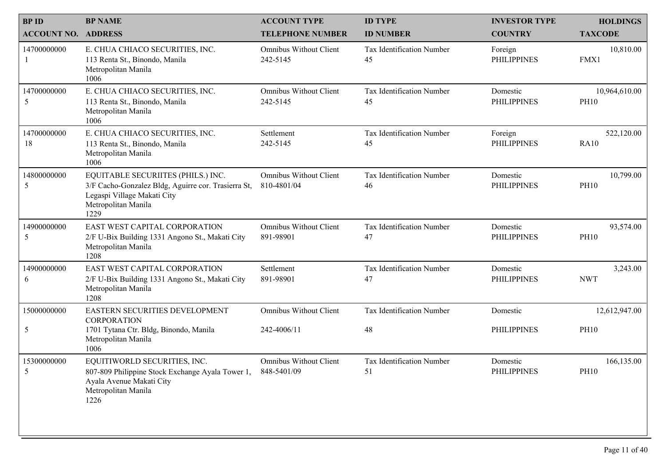| <b>BPID</b>               | <b>BP NAME</b><br><b>ACCOUNT NO. ADDRESS</b>                                                                                                            | <b>ACCOUNT TYPE</b><br><b>TELEPHONE NUMBER</b> | <b>ID TYPE</b><br><b>ID NUMBER</b> | <b>INVESTOR TYPE</b><br><b>COUNTRY</b> | <b>HOLDINGS</b><br><b>TAXCODE</b> |
|---------------------------|---------------------------------------------------------------------------------------------------------------------------------------------------------|------------------------------------------------|------------------------------------|----------------------------------------|-----------------------------------|
| 14700000000               | E. CHUA CHIACO SECURITIES, INC.<br>113 Renta St., Binondo, Manila<br>Metropolitan Manila<br>1006                                                        | <b>Omnibus Without Client</b><br>242-5145      | Tax Identification Number<br>45    | Foreign<br><b>PHILIPPINES</b>          | 10,810.00<br>FMX1                 |
| 14700000000<br>5          | E. CHUA CHIACO SECURITIES, INC.<br>113 Renta St., Binondo, Manila<br>Metropolitan Manila<br>1006                                                        | <b>Omnibus Without Client</b><br>242-5145      | Tax Identification Number<br>45    | Domestic<br><b>PHILIPPINES</b>         | 10,964,610.00<br><b>PH10</b>      |
| 14700000000<br>18         | E. CHUA CHIACO SECURITIES, INC.<br>113 Renta St., Binondo, Manila<br>Metropolitan Manila<br>1006                                                        | Settlement<br>242-5145                         | Tax Identification Number<br>45    | Foreign<br><b>PHILIPPINES</b>          | 522,120.00<br><b>RA10</b>         |
| 14800000000<br>5          | EQUITABLE SECURIITES (PHILS.) INC.<br>3/F Cacho-Gonzalez Bldg, Aguirre cor. Trasierra St,<br>Legaspi Village Makati City<br>Metropolitan Manila<br>1229 | <b>Omnibus Without Client</b><br>810-4801/04   | Tax Identification Number<br>46    | Domestic<br><b>PHILIPPINES</b>         | 10,799.00<br><b>PH10</b>          |
| 14900000000<br>5          | EAST WEST CAPITAL CORPORATION<br>2/F U-Bix Building 1331 Angono St., Makati City<br>Metropolitan Manila<br>1208                                         | <b>Omnibus Without Client</b><br>891-98901     | Tax Identification Number<br>47    | Domestic<br><b>PHILIPPINES</b>         | 93,574.00<br><b>PH10</b>          |
| 14900000000<br>6          | EAST WEST CAPITAL CORPORATION<br>2/F U-Bix Building 1331 Angono St., Makati City<br>Metropolitan Manila<br>1208                                         | Settlement<br>891-98901                        | Tax Identification Number<br>47    | Domestic<br><b>PHILIPPINES</b>         | 3,243.00<br><b>NWT</b>            |
| 15000000000<br>$\sqrt{5}$ | EASTERN SECURITIES DEVELOPMENT<br><b>CORPORATION</b><br>1701 Tytana Ctr. Bldg, Binondo, Manila<br>Metropolitan Manila<br>1006                           | <b>Omnibus Without Client</b><br>242-4006/11   | Tax Identification Number<br>48    | Domestic<br><b>PHILIPPINES</b>         | 12,612,947.00<br><b>PH10</b>      |
| 15300000000<br>5          | EQUITIWORLD SECURITIES, INC.<br>807-809 Philippine Stock Exchange Ayala Tower 1,<br>Ayala Avenue Makati City<br>Metropolitan Manila<br>1226             | <b>Omnibus Without Client</b><br>848-5401/09   | Tax Identification Number<br>51    | Domestic<br><b>PHILIPPINES</b>         | 166,135.00<br><b>PH10</b>         |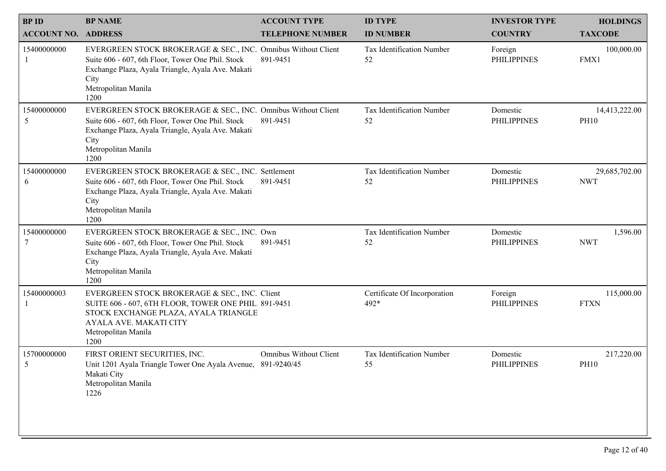| <b>BPID</b>                | <b>BP NAME</b>                                                                                                                                                                                                 | <b>ACCOUNT TYPE</b>           | <b>ID TYPE</b>                       | <b>INVESTOR TYPE</b>           | <b>HOLDINGS</b>              |
|----------------------------|----------------------------------------------------------------------------------------------------------------------------------------------------------------------------------------------------------------|-------------------------------|--------------------------------------|--------------------------------|------------------------------|
| <b>ACCOUNT NO. ADDRESS</b> |                                                                                                                                                                                                                | <b>TELEPHONE NUMBER</b>       | <b>ID NUMBER</b>                     | <b>COUNTRY</b>                 | <b>TAXCODE</b>               |
| 15400000000                | EVERGREEN STOCK BROKERAGE & SEC., INC. Omnibus Without Client<br>Suite 606 - 607, 6th Floor, Tower One Phil. Stock<br>Exchange Plaza, Ayala Triangle, Ayala Ave. Makati<br>City<br>Metropolitan Manila<br>1200 | 891-9451                      | Tax Identification Number<br>52      | Foreign<br><b>PHILIPPINES</b>  | 100,000.00<br>FMX1           |
| 15400000000<br>5           | EVERGREEN STOCK BROKERAGE & SEC., INC. Omnibus Without Client<br>Suite 606 - 607, 6th Floor, Tower One Phil. Stock<br>Exchange Plaza, Ayala Triangle, Ayala Ave. Makati<br>City<br>Metropolitan Manila<br>1200 | 891-9451                      | Tax Identification Number<br>52      | Domestic<br><b>PHILIPPINES</b> | 14,413,222.00<br><b>PH10</b> |
| 15400000000<br>6           | EVERGREEN STOCK BROKERAGE & SEC., INC. Settlement<br>Suite 606 - 607, 6th Floor, Tower One Phil. Stock<br>Exchange Plaza, Ayala Triangle, Ayala Ave. Makati<br>City<br>Metropolitan Manila<br>1200             | 891-9451                      | Tax Identification Number<br>52      | Domestic<br><b>PHILIPPINES</b> | 29,685,702.00<br><b>NWT</b>  |
| 15400000000                | EVERGREEN STOCK BROKERAGE & SEC., INC. Own<br>Suite 606 - 607, 6th Floor, Tower One Phil. Stock<br>Exchange Plaza, Ayala Triangle, Ayala Ave. Makati<br>City<br>Metropolitan Manila<br>1200                    | 891-9451                      | Tax Identification Number<br>52      | Domestic<br><b>PHILIPPINES</b> | 1,596.00<br><b>NWT</b>       |
| 15400000003                | EVERGREEN STOCK BROKERAGE & SEC., INC. Client<br>SUITE 606 - 607, 6TH FLOOR, TOWER ONE PHIL 891-9451<br>STOCK EXCHANGE PLAZA, AYALA TRIANGLE<br>AYALA AVE. MAKATI CITY<br>Metropolitan Manila<br>1200          |                               | Certificate Of Incorporation<br>492* | Foreign<br><b>PHILIPPINES</b>  | 115,000.00<br><b>FTXN</b>    |
| 15700000000<br>5           | FIRST ORIENT SECURITIES, INC.<br>Unit 1201 Ayala Triangle Tower One Ayala Avenue, 891-9240/45<br>Makati City<br>Metropolitan Manila<br>1226                                                                    | <b>Omnibus Without Client</b> | Tax Identification Number<br>55      | Domestic<br><b>PHILIPPINES</b> | 217,220.00<br><b>PH10</b>    |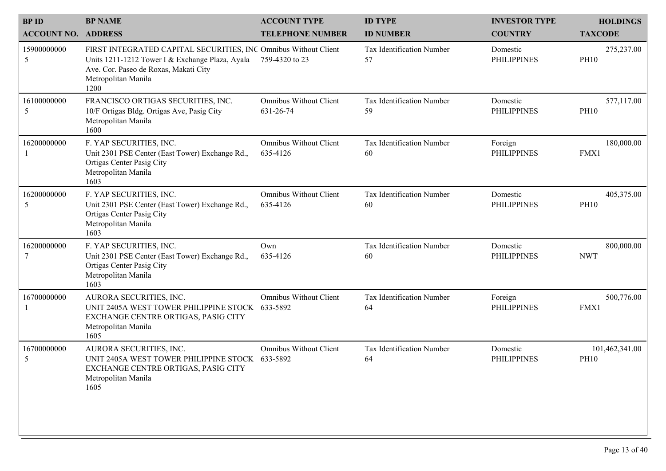| <b>BPID</b><br><b>BP NAME</b> |                                                                                                                                                                                            |                                                | <b>ID TYPE</b>                  |                                        |                                   |
|-------------------------------|--------------------------------------------------------------------------------------------------------------------------------------------------------------------------------------------|------------------------------------------------|---------------------------------|----------------------------------------|-----------------------------------|
| <b>ACCOUNT NO. ADDRESS</b>    |                                                                                                                                                                                            | <b>ACCOUNT TYPE</b><br><b>TELEPHONE NUMBER</b> | <b>ID NUMBER</b>                | <b>INVESTOR TYPE</b><br><b>COUNTRY</b> | <b>HOLDINGS</b><br><b>TAXCODE</b> |
| 15900000000<br>5              | FIRST INTEGRATED CAPITAL SECURITIES, INC Omnibus Without Client<br>Units 1211-1212 Tower I & Exchange Plaza, Ayala<br>Ave. Cor. Paseo de Roxas, Makati City<br>Metropolitan Manila<br>1200 | 759-4320 to 23                                 | Tax Identification Number<br>57 | Domestic<br><b>PHILIPPINES</b>         | 275,237.00<br><b>PH10</b>         |
| 16100000000<br>5              | FRANCISCO ORTIGAS SECURITIES, INC.<br>10/F Ortigas Bldg. Ortigas Ave, Pasig City<br>Metropolitan Manila<br>1600                                                                            | <b>Omnibus Without Client</b><br>631-26-74     | Tax Identification Number<br>59 | Domestic<br><b>PHILIPPINES</b>         | 577,117.00<br><b>PH10</b>         |
| 16200000000                   | F. YAP SECURITIES, INC.<br>Unit 2301 PSE Center (East Tower) Exchange Rd.,<br>Ortigas Center Pasig City<br>Metropolitan Manila<br>1603                                                     | <b>Omnibus Without Client</b><br>635-4126      | Tax Identification Number<br>60 | Foreign<br><b>PHILIPPINES</b>          | 180,000.00<br>FMX1                |
| 16200000000<br>5              | F. YAP SECURITIES, INC.<br>Unit 2301 PSE Center (East Tower) Exchange Rd.,<br>Ortigas Center Pasig City<br>Metropolitan Manila<br>1603                                                     | <b>Omnibus Without Client</b><br>635-4126      | Tax Identification Number<br>60 | Domestic<br><b>PHILIPPINES</b>         | 405,375.00<br><b>PH10</b>         |
| 16200000000                   | F. YAP SECURITIES, INC.<br>Unit 2301 PSE Center (East Tower) Exchange Rd.,<br>Ortigas Center Pasig City<br>Metropolitan Manila<br>1603                                                     | Own<br>635-4126                                | Tax Identification Number<br>60 | Domestic<br><b>PHILIPPINES</b>         | 800,000.00<br><b>NWT</b>          |
| 16700000000                   | AURORA SECURITIES, INC.<br>UNIT 2405A WEST TOWER PHILIPPINE STOCK 633-5892<br>EXCHANGE CENTRE ORTIGAS, PASIG CITY<br>Metropolitan Manila<br>1605                                           | Omnibus Without Client                         | Tax Identification Number<br>64 | Foreign<br><b>PHILIPPINES</b>          | 500,776.00<br>FMX1                |
| 16700000000<br>5              | AURORA SECURITIES, INC.<br>UNIT 2405A WEST TOWER PHILIPPINE STOCK 633-5892<br>EXCHANGE CENTRE ORTIGAS, PASIG CITY<br>Metropolitan Manila<br>1605                                           | <b>Omnibus Without Client</b>                  | Tax Identification Number<br>64 | Domestic<br><b>PHILIPPINES</b>         | 101,462,341.00<br><b>PH10</b>     |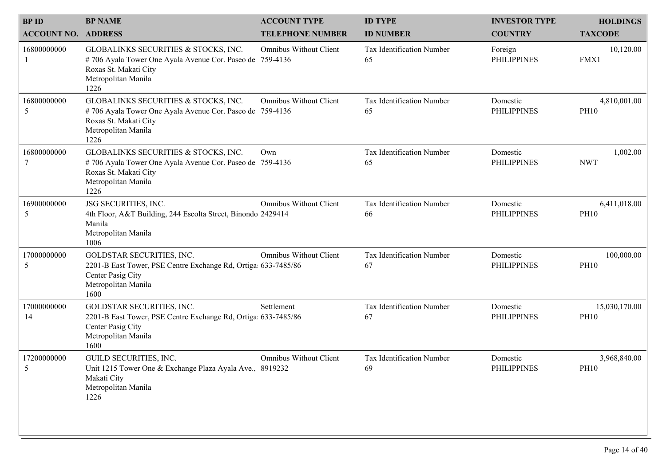| <b>BPID</b>                | <b>BP NAME</b>                                                                                                                                           | <b>ACCOUNT TYPE</b>           | <b>ID TYPE</b>                  | <b>INVESTOR TYPE</b>           | <b>HOLDINGS</b>              |
|----------------------------|----------------------------------------------------------------------------------------------------------------------------------------------------------|-------------------------------|---------------------------------|--------------------------------|------------------------------|
| <b>ACCOUNT NO. ADDRESS</b> |                                                                                                                                                          | <b>TELEPHONE NUMBER</b>       | <b>ID NUMBER</b>                | <b>COUNTRY</b>                 | <b>TAXCODE</b>               |
| 16800000000                | GLOBALINKS SECURITIES & STOCKS, INC.<br>#706 Ayala Tower One Ayala Avenue Cor. Paseo de 759-4136<br>Roxas St. Makati City<br>Metropolitan Manila<br>1226 | <b>Omnibus Without Client</b> | Tax Identification Number<br>65 | Foreign<br><b>PHILIPPINES</b>  | 10,120.00<br>FMX1            |
| 16800000000<br>5           | GLOBALINKS SECURITIES & STOCKS, INC.<br>#706 Ayala Tower One Ayala Avenue Cor. Paseo de 759-4136<br>Roxas St. Makati City<br>Metropolitan Manila<br>1226 | <b>Omnibus Without Client</b> | Tax Identification Number<br>65 | Domestic<br><b>PHILIPPINES</b> | 4,810,001.00<br><b>PH10</b>  |
| 16800000000                | GLOBALINKS SECURITIES & STOCKS, INC.<br>#706 Ayala Tower One Ayala Avenue Cor. Paseo de 759-4136<br>Roxas St. Makati City<br>Metropolitan Manila<br>1226 | Own                           | Tax Identification Number<br>65 | Domestic<br><b>PHILIPPINES</b> | 1,002.00<br><b>NWT</b>       |
| 16900000000<br>5           | JSG SECURITIES, INC.<br>4th Floor, A&T Building, 244 Escolta Street, Binondo 2429414<br>Manila<br>Metropolitan Manila<br>1006                            | <b>Omnibus Without Client</b> | Tax Identification Number<br>66 | Domestic<br><b>PHILIPPINES</b> | 6,411,018.00<br><b>PH10</b>  |
| 17000000000<br>5           | GOLDSTAR SECURITIES, INC.<br>2201-B East Tower, PSE Centre Exchange Rd, Ortiga 633-7485/86<br>Center Pasig City<br>Metropolitan Manila<br>1600           | Omnibus Without Client        | Tax Identification Number<br>67 | Domestic<br><b>PHILIPPINES</b> | 100,000.00<br><b>PH10</b>    |
| 17000000000<br>14          | GOLDSTAR SECURITIES, INC.<br>2201-B East Tower, PSE Centre Exchange Rd, Ortiga: 633-7485/86<br>Center Pasig City<br>Metropolitan Manila<br>1600          | Settlement                    | Tax Identification Number<br>67 | Domestic<br><b>PHILIPPINES</b> | 15,030,170.00<br><b>PH10</b> |
| 17200000000<br>5           | <b>GUILD SECURITIES, INC.</b><br>Unit 1215 Tower One & Exchange Plaza Ayala Ave., 8919232<br>Makati City<br>Metropolitan Manila<br>1226                  | <b>Omnibus Without Client</b> | Tax Identification Number<br>69 | Domestic<br><b>PHILIPPINES</b> | 3,968,840.00<br><b>PH10</b>  |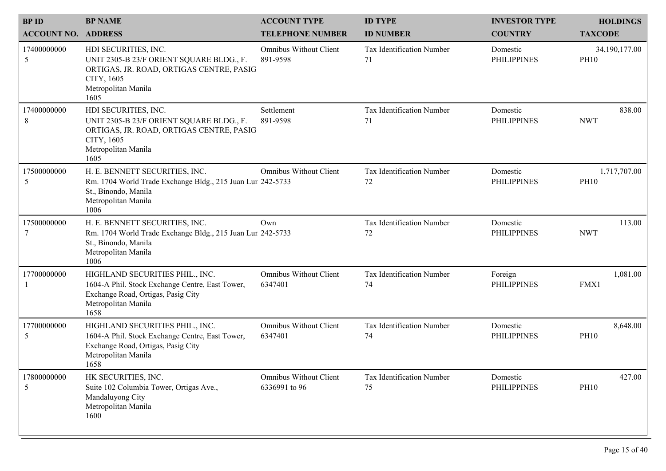| <b>BPID</b><br><b>ACCOUNT NO. ADDRESS</b> | <b>BP NAME</b>                                                                                                                                            | <b>ACCOUNT TYPE</b><br><b>TELEPHONE NUMBER</b> | <b>ID TYPE</b><br><b>ID NUMBER</b> | <b>INVESTOR TYPE</b><br><b>COUNTRY</b> | <b>HOLDINGS</b><br><b>TAXCODE</b> |
|-------------------------------------------|-----------------------------------------------------------------------------------------------------------------------------------------------------------|------------------------------------------------|------------------------------------|----------------------------------------|-----------------------------------|
| 17400000000<br>5                          | HDI SECURITIES, INC.<br>UNIT 2305-B 23/F ORIENT SQUARE BLDG., F.<br>ORTIGAS, JR. ROAD, ORTIGAS CENTRE, PASIG<br>CITY, 1605<br>Metropolitan Manila<br>1605 | <b>Omnibus Without Client</b><br>891-9598      | Tax Identification Number<br>71    | Domestic<br><b>PHILIPPINES</b>         | 34,190,177.00<br><b>PH10</b>      |
| 17400000000<br>8                          | HDI SECURITIES, INC.<br>UNIT 2305-B 23/F ORIENT SQUARE BLDG., F.<br>ORTIGAS, JR. ROAD, ORTIGAS CENTRE, PASIG<br>CITY, 1605<br>Metropolitan Manila<br>1605 | Settlement<br>891-9598                         | Tax Identification Number<br>71    | Domestic<br><b>PHILIPPINES</b>         | 838.00<br><b>NWT</b>              |
| 17500000000<br>5                          | H. E. BENNETT SECURITIES, INC.<br>Rm. 1704 World Trade Exchange Bldg., 215 Juan Lur 242-5733<br>St., Binondo, Manila<br>Metropolitan Manila<br>1006       | <b>Omnibus Without Client</b>                  | Tax Identification Number<br>72    | Domestic<br><b>PHILIPPINES</b>         | 1,717,707.00<br><b>PH10</b>       |
| 17500000000                               | H. E. BENNETT SECURITIES, INC.<br>Rm. 1704 World Trade Exchange Bldg., 215 Juan Lur 242-5733<br>St., Binondo, Manila<br>Metropolitan Manila<br>1006       | Own                                            | Tax Identification Number<br>72    | Domestic<br><b>PHILIPPINES</b>         | 113.00<br><b>NWT</b>              |
| 17700000000                               | HIGHLAND SECURITIES PHIL., INC.<br>1604-A Phil. Stock Exchange Centre, East Tower,<br>Exchange Road, Ortigas, Pasig City<br>Metropolitan Manila<br>1658   | <b>Omnibus Without Client</b><br>6347401       | Tax Identification Number<br>74    | Foreign<br><b>PHILIPPINES</b>          | 1,081.00<br>FMX1                  |
| 17700000000<br>5                          | HIGHLAND SECURITIES PHIL., INC.<br>1604-A Phil. Stock Exchange Centre, East Tower,<br>Exchange Road, Ortigas, Pasig City<br>Metropolitan Manila<br>1658   | Omnibus Without Client<br>6347401              | Tax Identification Number<br>74    | Domestic<br><b>PHILIPPINES</b>         | 8,648.00<br><b>PH10</b>           |
| 17800000000<br>5                          | HK SECURITIES, INC.<br>Suite 102 Columbia Tower, Ortigas Ave.,<br>Mandaluyong City<br>Metropolitan Manila<br>1600                                         | <b>Omnibus Without Client</b><br>6336991 to 96 | Tax Identification Number<br>75    | Domestic<br><b>PHILIPPINES</b>         | 427.00<br><b>PH10</b>             |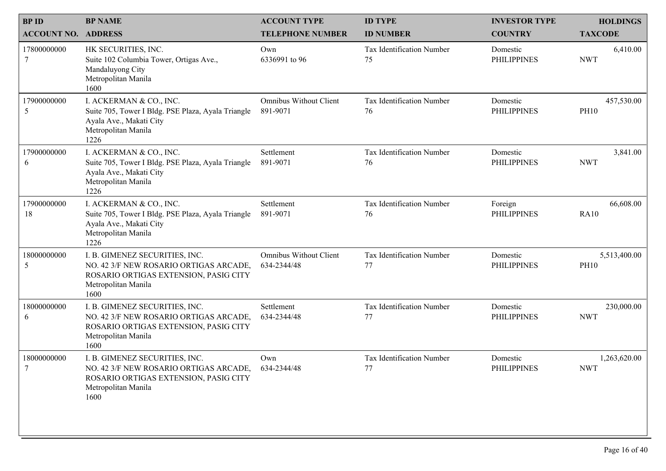|                                           | <b>BP NAME</b>                                                                                                                                   |                                                |                                    |                                        |                                   |
|-------------------------------------------|--------------------------------------------------------------------------------------------------------------------------------------------------|------------------------------------------------|------------------------------------|----------------------------------------|-----------------------------------|
| <b>BPID</b><br><b>ACCOUNT NO. ADDRESS</b> |                                                                                                                                                  | <b>ACCOUNT TYPE</b><br><b>TELEPHONE NUMBER</b> | <b>ID TYPE</b><br><b>ID NUMBER</b> | <b>INVESTOR TYPE</b><br><b>COUNTRY</b> | <b>HOLDINGS</b><br><b>TAXCODE</b> |
| 17800000000                               | HK SECURITIES, INC.<br>Suite 102 Columbia Tower, Ortigas Ave.,<br>Mandaluyong City<br>Metropolitan Manila<br>1600                                | Own<br>6336991 to 96                           | Tax Identification Number<br>75    | Domestic<br><b>PHILIPPINES</b>         | 6,410.00<br><b>NWT</b>            |
| 17900000000<br>5                          | I. ACKERMAN & CO., INC.<br>Suite 705, Tower I Bldg. PSE Plaza, Ayala Triangle<br>Ayala Ave., Makati City<br>Metropolitan Manila<br>1226          | <b>Omnibus Without Client</b><br>891-9071      | Tax Identification Number<br>76    | Domestic<br><b>PHILIPPINES</b>         | 457,530.00<br><b>PH10</b>         |
| 17900000000<br>6                          | I. ACKERMAN & CO., INC.<br>Suite 705, Tower I Bldg. PSE Plaza, Ayala Triangle<br>Ayala Ave., Makati City<br>Metropolitan Manila<br>1226          | Settlement<br>891-9071                         | Tax Identification Number<br>76    | Domestic<br><b>PHILIPPINES</b>         | 3,841.00<br><b>NWT</b>            |
| 17900000000<br>18                         | I. ACKERMAN & CO., INC.<br>Suite 705, Tower I Bldg. PSE Plaza, Ayala Triangle<br>Ayala Ave., Makati City<br>Metropolitan Manila<br>1226          | Settlement<br>891-9071                         | Tax Identification Number<br>76    | Foreign<br><b>PHILIPPINES</b>          | 66,608.00<br><b>RA10</b>          |
| 18000000000<br>5                          | I. B. GIMENEZ SECURITIES, INC.<br>NO. 42 3/F NEW ROSARIO ORTIGAS ARCADE,<br>ROSARIO ORTIGAS EXTENSION, PASIG CITY<br>Metropolitan Manila<br>1600 | <b>Omnibus Without Client</b><br>634-2344/48   | Tax Identification Number<br>77    | Domestic<br><b>PHILIPPINES</b>         | 5,513,400.00<br><b>PH10</b>       |
| 18000000000<br>6                          | I. B. GIMENEZ SECURITIES, INC.<br>NO. 42 3/F NEW ROSARIO ORTIGAS ARCADE,<br>ROSARIO ORTIGAS EXTENSION, PASIG CITY<br>Metropolitan Manila<br>1600 | Settlement<br>634-2344/48                      | Tax Identification Number<br>77    | Domestic<br><b>PHILIPPINES</b>         | 230,000.00<br><b>NWT</b>          |
| 18000000000<br>7                          | I. B. GIMENEZ SECURITIES, INC.<br>NO. 42 3/F NEW ROSARIO ORTIGAS ARCADE,<br>ROSARIO ORTIGAS EXTENSION, PASIG CITY<br>Metropolitan Manila<br>1600 | Own<br>634-2344/48                             | Tax Identification Number<br>77    | Domestic<br><b>PHILIPPINES</b>         | 1,263,620.00<br><b>NWT</b>        |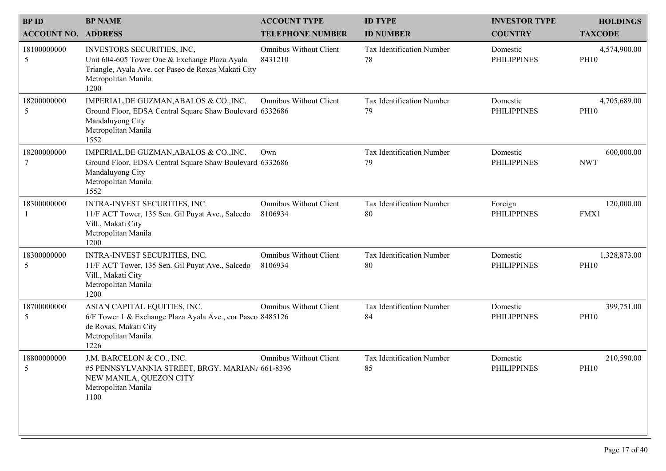| <b>BPID</b><br><b>ACCOUNT NO. ADDRESS</b> | <b>BP NAME</b>                                                                                                                                                    | <b>ACCOUNT TYPE</b><br><b>TELEPHONE NUMBER</b> | <b>ID TYPE</b><br><b>ID NUMBER</b> | <b>INVESTOR TYPE</b><br><b>COUNTRY</b> | <b>HOLDINGS</b><br><b>TAXCODE</b> |  |
|-------------------------------------------|-------------------------------------------------------------------------------------------------------------------------------------------------------------------|------------------------------------------------|------------------------------------|----------------------------------------|-----------------------------------|--|
| 18100000000<br>5                          | INVESTORS SECURITIES, INC,<br>Unit 604-605 Tower One & Exchange Plaza Ayala<br>Triangle, Ayala Ave. cor Paseo de Roxas Makati City<br>Metropolitan Manila<br>1200 | <b>Omnibus Without Client</b><br>8431210       | Tax Identification Number<br>78    | Domestic<br><b>PHILIPPINES</b>         | 4,574,900.00<br><b>PH10</b>       |  |
| 18200000000<br>5                          | IMPERIAL, DE GUZMAN, ABALOS & CO., INC.<br>Ground Floor, EDSA Central Square Shaw Boulevard 6332686<br>Mandaluyong City<br>Metropolitan Manila<br>1552            | <b>Omnibus Without Client</b>                  | Tax Identification Number<br>79    | Domestic<br><b>PHILIPPINES</b>         | 4,705,689.00<br><b>PH10</b>       |  |
| 18200000000                               | IMPERIAL, DE GUZMAN, ABALOS & CO., INC.<br>Ground Floor, EDSA Central Square Shaw Boulevard 6332686<br>Mandaluyong City<br>Metropolitan Manila<br>1552            | Own                                            | Tax Identification Number<br>79    | Domestic<br><b>PHILIPPINES</b>         | 600,000.00<br><b>NWT</b>          |  |
| 18300000000                               | INTRA-INVEST SECURITIES, INC.<br>11/F ACT Tower, 135 Sen. Gil Puyat Ave., Salcedo<br>Vill., Makati City<br>Metropolitan Manila<br>1200                            | <b>Omnibus Without Client</b><br>8106934       | Tax Identification Number<br>80    | Foreign<br><b>PHILIPPINES</b>          | 120,000.00<br>FMX1                |  |
| 18300000000<br>5                          | INTRA-INVEST SECURITIES, INC.<br>11/F ACT Tower, 135 Sen. Gil Puyat Ave., Salcedo<br>Vill., Makati City<br>Metropolitan Manila<br>1200                            | <b>Omnibus Without Client</b><br>8106934       | Tax Identification Number<br>80    | Domestic<br><b>PHILIPPINES</b>         | 1,328,873.00<br><b>PH10</b>       |  |
| 18700000000<br>5                          | ASIAN CAPITAL EQUITIES, INC.<br>6/F Tower 1 & Exchange Plaza Ayala Ave., cor Paseo 8485126<br>de Roxas, Makati City<br>Metropolitan Manila<br>1226                | Omnibus Without Client                         | Tax Identification Number<br>84    | Domestic<br><b>PHILIPPINES</b>         | 399,751.00<br><b>PH10</b>         |  |
| 18800000000<br>5                          | J.M. BARCELON & CO., INC.<br>#5 PENNSYLVANNIA STREET, BRGY. MARIAN/ 661-8396<br>NEW MANILA, QUEZON CITY<br>Metropolitan Manila                                    | <b>Omnibus Without Client</b>                  | Tax Identification Number<br>85    | Domestic<br><b>PHILIPPINES</b>         | 210,590.00<br><b>PH10</b>         |  |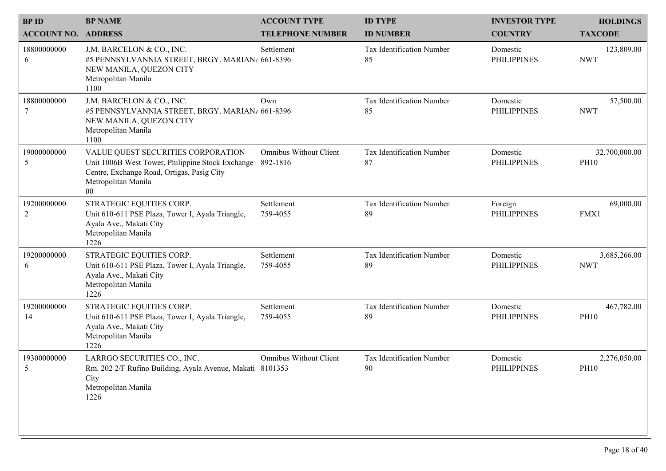| <b>BP NAME</b>                            |                                                                                                                                                                       |                                                |                                    |                                        |                                   |
|-------------------------------------------|-----------------------------------------------------------------------------------------------------------------------------------------------------------------------|------------------------------------------------|------------------------------------|----------------------------------------|-----------------------------------|
| <b>BPID</b><br><b>ACCOUNT NO. ADDRESS</b> |                                                                                                                                                                       | <b>ACCOUNT TYPE</b><br><b>TELEPHONE NUMBER</b> | <b>ID TYPE</b><br><b>ID NUMBER</b> | <b>INVESTOR TYPE</b><br><b>COUNTRY</b> | <b>HOLDINGS</b><br><b>TAXCODE</b> |
| 18800000000<br>6                          | J.M. BARCELON & CO., INC.<br>#5 PENNSYLVANNIA STREET, BRGY. MARIAN/ 661-8396<br>NEW MANILA, QUEZON CITY<br>Metropolitan Manila<br>1100                                | Settlement                                     | Tax Identification Number<br>85    | Domestic<br><b>PHILIPPINES</b>         | 123,809.00<br><b>NWT</b>          |
| 18800000000<br>7                          | J.M. BARCELON & CO., INC.<br>#5 PENNSYLVANNIA STREET, BRGY. MARIAN/ 661-8396<br>NEW MANILA, QUEZON CITY<br>Metropolitan Manila<br>1100                                | Own                                            | Tax Identification Number<br>85    | Domestic<br><b>PHILIPPINES</b>         | 57,500.00<br><b>NWT</b>           |
| 19000000000<br>5                          | VALUE QUEST SECURITIES CORPORATION<br>Unit 1006B West Tower, Philippine Stock Exchange<br>Centre, Exchange Road, Ortigas, Pasig City<br>Metropolitan Manila<br>$00\,$ | <b>Omnibus Without Client</b><br>892-1816      | Tax Identification Number<br>87    | Domestic<br><b>PHILIPPINES</b>         | 32,700,000.00<br><b>PH10</b>      |
| 19200000000<br>$\overline{2}$             | STRATEGIC EQUITIES CORP.<br>Unit 610-611 PSE Plaza, Tower I, Ayala Triangle,<br>Ayala Ave., Makati City<br>Metropolitan Manila<br>1226                                | Settlement<br>759-4055                         | Tax Identification Number<br>89    | Foreign<br><b>PHILIPPINES</b>          | 69,000.00<br>FMX1                 |
| 19200000000<br>6                          | STRATEGIC EQUITIES CORP.<br>Unit 610-611 PSE Plaza, Tower I, Ayala Triangle,<br>Ayala Ave., Makati City<br>Metropolitan Manila<br>1226                                | Settlement<br>759-4055                         | Tax Identification Number<br>89    | Domestic<br><b>PHILIPPINES</b>         | 3,685,266.00<br><b>NWT</b>        |
| 19200000000<br>14                         | STRATEGIC EQUITIES CORP.<br>Unit 610-611 PSE Plaza, Tower I, Ayala Triangle,<br>Ayala Ave., Makati City<br>Metropolitan Manila<br>1226                                | Settlement<br>759-4055                         | Tax Identification Number<br>89    | Domestic<br><b>PHILIPPINES</b>         | 467,782.00<br><b>PH10</b>         |
| 19300000000<br>5                          | LARRGO SECURITIES CO., INC.<br>Rm. 202 2/F Rufino Building, Ayala Avenue, Makati 8101353<br>City<br>Metropolitan Manila<br>1226                                       | <b>Omnibus Without Client</b>                  | Tax Identification Number<br>90    | Domestic<br><b>PHILIPPINES</b>         | 2,276,050.00<br><b>PH10</b>       |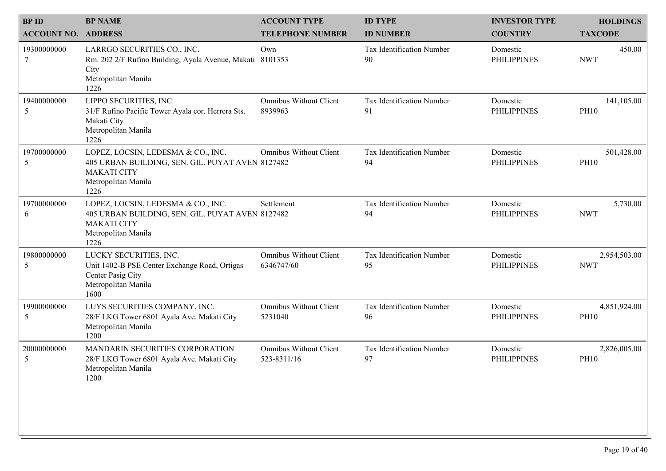| <b>BPID</b>                | <b>BP NAME</b>                                                                                                                              | <b>ACCOUNT TYPE</b>                          | <b>ID TYPE</b>                  | <b>INVESTOR TYPE</b>           | <b>HOLDINGS</b>             |
|----------------------------|---------------------------------------------------------------------------------------------------------------------------------------------|----------------------------------------------|---------------------------------|--------------------------------|-----------------------------|
| <b>ACCOUNT NO. ADDRESS</b> |                                                                                                                                             | <b>TELEPHONE NUMBER</b>                      | <b>ID NUMBER</b>                | <b>COUNTRY</b>                 | <b>TAXCODE</b>              |
| 19300000000                | LARRGO SECURITIES CO., INC.<br>Rm. 202 2/F Rufino Building, Ayala Avenue, Makati 8101353<br>City<br>Metropolitan Manila<br>1226             | Own                                          | Tax Identification Number<br>90 | Domestic<br><b>PHILIPPINES</b> | 450.00<br><b>NWT</b>        |
| 19400000000<br>5           | LIPPO SECURITIES, INC.<br>31/F Rufino Pacific Tower Ayala cor. Herrera Sts.<br>Makati City<br>Metropolitan Manila<br>1226                   | <b>Omnibus Without Client</b><br>8939963     | Tax Identification Number<br>91 | Domestic<br><b>PHILIPPINES</b> | 141,105.00<br><b>PH10</b>   |
| 19700000000<br>5           | LOPEZ, LOCSIN, LEDESMA & CO., INC.<br>405 URBAN BUILDING, SEN. GIL. PUYAT AVEN 8127482<br><b>MAKATI CITY</b><br>Metropolitan Manila<br>1226 | <b>Omnibus Without Client</b>                | Tax Identification Number<br>94 | Domestic<br><b>PHILIPPINES</b> | 501,428.00<br><b>PH10</b>   |
| 19700000000<br>6           | LOPEZ, LOCSIN, LEDESMA & CO., INC.<br>405 URBAN BUILDING, SEN. GIL. PUYAT AVEN 8127482<br><b>MAKATI CITY</b><br>Metropolitan Manila<br>1226 | Settlement                                   | Tax Identification Number<br>94 | Domestic<br><b>PHILIPPINES</b> | 5,730.00<br><b>NWT</b>      |
| 19800000000<br>5           | LUCKY SECURITIES, INC.<br>Unit 1402-B PSE Center Exchange Road, Ortigas<br>Center Pasig City<br>Metropolitan Manila<br>1600                 | <b>Omnibus Without Client</b><br>6346747/60  | Tax Identification Number<br>95 | Domestic<br><b>PHILIPPINES</b> | 2,954,503.00<br><b>NWT</b>  |
| 19900000000<br>5           | LUYS SECURITIES COMPANY, INC.<br>28/F LKG Tower 6801 Ayala Ave. Makati City<br>Metropolitan Manila<br>1200                                  | <b>Omnibus Without Client</b><br>5231040     | Tax Identification Number<br>96 | Domestic<br><b>PHILIPPINES</b> | 4,851,924.00<br><b>PH10</b> |
| 20000000000<br>5           | MANDARIN SECURITIES CORPORATION<br>28/F LKG Tower 6801 Ayala Ave. Makati City<br>Metropolitan Manila<br>1200                                | <b>Omnibus Without Client</b><br>523-8311/16 | Tax Identification Number<br>97 | Domestic<br><b>PHILIPPINES</b> | 2,826,005.00<br><b>PH10</b> |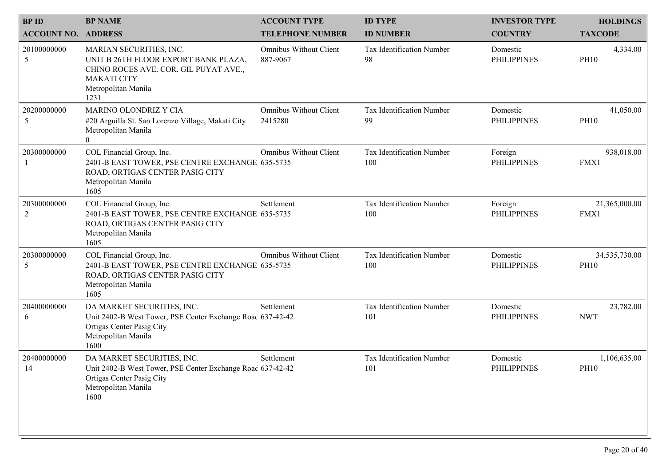| <b>BPID</b><br><b>ACCOUNT NO. ADDRESS</b> | <b>BP NAME</b>                                                                                                                                                | <b>ACCOUNT TYPE</b><br><b>TELEPHONE NUMBER</b> | <b>ID TYPE</b><br><b>ID NUMBER</b> | <b>INVESTOR TYPE</b><br><b>COUNTRY</b> | <b>HOLDINGS</b><br><b>TAXCODE</b> |
|-------------------------------------------|---------------------------------------------------------------------------------------------------------------------------------------------------------------|------------------------------------------------|------------------------------------|----------------------------------------|-----------------------------------|
| 20100000000<br>5                          | MARIAN SECURITIES, INC.<br>UNIT B 26TH FLOOR EXPORT BANK PLAZA,<br>CHINO ROCES AVE. COR. GIL PUYAT AVE.,<br><b>MAKATI CITY</b><br>Metropolitan Manila<br>1231 | <b>Omnibus Without Client</b><br>887-9067      | Tax Identification Number<br>98    | Domestic<br><b>PHILIPPINES</b>         | 4,334.00<br><b>PH10</b>           |
| 20200000000<br>5                          | MARINO OLONDRIZ Y CIA<br>#20 Arguilla St. San Lorenzo Village, Makati City<br>Metropolitan Manila<br>$\theta$                                                 | <b>Omnibus Without Client</b><br>2415280       | Tax Identification Number<br>99    | Domestic<br><b>PHILIPPINES</b>         | 41,050.00<br><b>PH10</b>          |
| 20300000000                               | COL Financial Group, Inc.<br>2401-B EAST TOWER, PSE CENTRE EXCHANGE 635-5735<br>ROAD, ORTIGAS CENTER PASIG CITY<br>Metropolitan Manila<br>1605                | <b>Omnibus Without Client</b>                  | Tax Identification Number<br>100   | Foreign<br><b>PHILIPPINES</b>          | 938,018.00<br>FMX1                |
| 20300000000<br>$\overline{2}$             | COL Financial Group, Inc.<br>2401-B EAST TOWER, PSE CENTRE EXCHANGE 635-5735<br>ROAD, ORTIGAS CENTER PASIG CITY<br>Metropolitan Manila<br>1605                | Settlement                                     | Tax Identification Number<br>100   | Foreign<br><b>PHILIPPINES</b>          | 21,365,000.00<br>FMX1             |
| 20300000000<br>5                          | COL Financial Group, Inc.<br>2401-B EAST TOWER, PSE CENTRE EXCHANGE 635-5735<br>ROAD, ORTIGAS CENTER PASIG CITY<br>Metropolitan Manila<br>1605                | <b>Omnibus Without Client</b>                  | Tax Identification Number<br>100   | Domestic<br><b>PHILIPPINES</b>         | 34,535,730.00<br><b>PH10</b>      |
| 20400000000<br>6                          | DA MARKET SECURITIES, INC.<br>Unit 2402-B West Tower, PSE Center Exchange Roac 637-42-42<br>Ortigas Center Pasig City<br>Metropolitan Manila<br>1600          | Settlement                                     | Tax Identification Number<br>101   | Domestic<br><b>PHILIPPINES</b>         | 23,782.00<br><b>NWT</b>           |
| 20400000000<br>14                         | DA MARKET SECURITIES, INC.<br>Unit 2402-B West Tower, PSE Center Exchange Roac 637-42-42<br>Ortigas Center Pasig City<br>Metropolitan Manila<br>1600          | Settlement                                     | Tax Identification Number<br>101   | Domestic<br><b>PHILIPPINES</b>         | 1,106,635.00<br><b>PH10</b>       |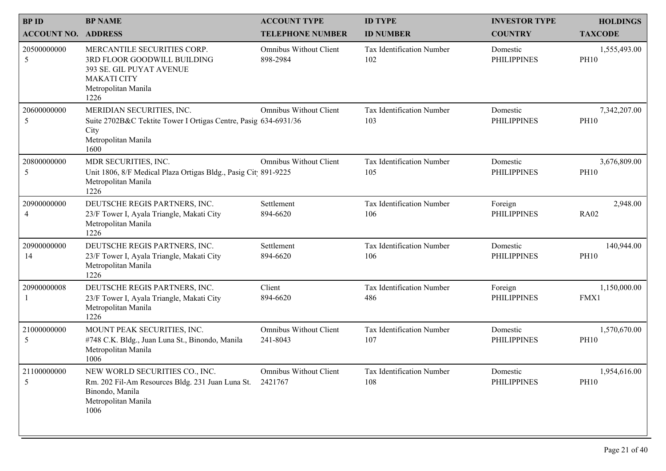| <b>BPID</b><br><b>ACCOUNT NO. ADDRESS</b> | <b>BP NAME</b>                                                                                                                              | <b>ACCOUNT TYPE</b><br><b>TELEPHONE NUMBER</b> | <b>ID TYPE</b><br><b>ID NUMBER</b>      | <b>INVESTOR TYPE</b><br><b>COUNTRY</b> | <b>HOLDINGS</b><br><b>TAXCODE</b> |
|-------------------------------------------|---------------------------------------------------------------------------------------------------------------------------------------------|------------------------------------------------|-----------------------------------------|----------------------------------------|-----------------------------------|
| 20500000000<br>5                          | MERCANTILE SECURITIES CORP.<br>3RD FLOOR GOODWILL BUILDING<br>393 SE. GIL PUYAT AVENUE<br><b>MAKATI CITY</b><br>Metropolitan Manila<br>1226 | <b>Omnibus Without Client</b><br>898-2984      | Tax Identification Number<br>102        | Domestic<br><b>PHILIPPINES</b>         | 1,555,493.00<br><b>PH10</b>       |
| 20600000000<br>5                          | MERIDIAN SECURITIES, INC.<br>Suite 2702B&C Tektite Tower I Ortigas Centre, Pasig 634-6931/36<br>City<br>Metropolitan Manila<br>1600         | <b>Omnibus Without Client</b>                  | <b>Tax Identification Number</b><br>103 | Domestic<br><b>PHILIPPINES</b>         | 7,342,207.00<br><b>PH10</b>       |
| 20800000000<br>5                          | MDR SECURITIES, INC.<br>Unit 1806, 8/F Medical Plaza Ortigas Bldg., Pasig Cit 891-9225<br>Metropolitan Manila<br>1226                       | <b>Omnibus Without Client</b>                  | Tax Identification Number<br>105        | Domestic<br><b>PHILIPPINES</b>         | 3,676,809.00<br><b>PH10</b>       |
| 20900000000<br>4                          | DEUTSCHE REGIS PARTNERS, INC.<br>23/F Tower I, Ayala Triangle, Makati City<br>Metropolitan Manila<br>1226                                   | Settlement<br>894-6620                         | Tax Identification Number<br>106        | Foreign<br><b>PHILIPPINES</b>          | 2,948.00<br><b>RA02</b>           |
| 20900000000<br>14                         | DEUTSCHE REGIS PARTNERS, INC.<br>23/F Tower I, Ayala Triangle, Makati City<br>Metropolitan Manila<br>1226                                   | Settlement<br>894-6620                         | Tax Identification Number<br>106        | Domestic<br><b>PHILIPPINES</b>         | 140,944.00<br><b>PH10</b>         |
| 20900000008                               | DEUTSCHE REGIS PARTNERS, INC.<br>23/F Tower I, Ayala Triangle, Makati City<br>Metropolitan Manila<br>1226                                   | Client<br>894-6620                             | Tax Identification Number<br>486        | Foreign<br><b>PHILIPPINES</b>          | 1,150,000.00<br>FMX1              |
| 21000000000<br>5                          | MOUNT PEAK SECURITIES, INC.<br>#748 C.K. Bldg., Juan Luna St., Binondo, Manila<br>Metropolitan Manila<br>1006                               | <b>Omnibus Without Client</b><br>241-8043      | Tax Identification Number<br>107        | Domestic<br><b>PHILIPPINES</b>         | 1,570,670.00<br><b>PH10</b>       |
| 21100000000<br>5                          | NEW WORLD SECURITIES CO., INC.<br>Rm. 202 Fil-Am Resources Bldg. 231 Juan Luna St.<br>Binondo, Manila<br>Metropolitan Manila<br>1006        | <b>Omnibus Without Client</b><br>2421767       | Tax Identification Number<br>108        | Domestic<br><b>PHILIPPINES</b>         | 1,954,616.00<br><b>PH10</b>       |
|                                           |                                                                                                                                             |                                                |                                         |                                        |                                   |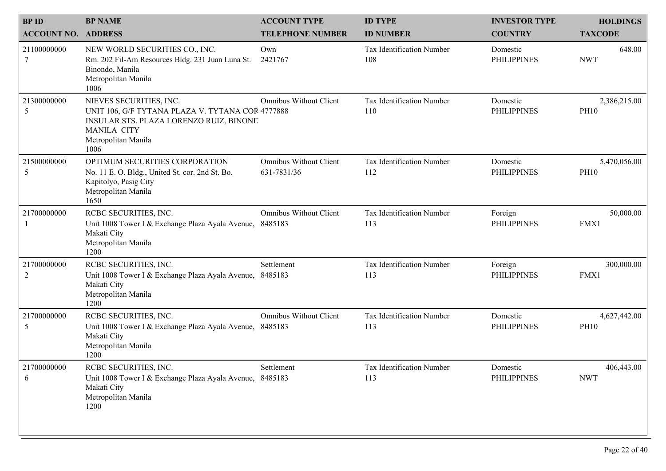| <b>BPID</b><br><b>ACCOUNT NO. ADDRESS</b> | <b>BP NAME</b>                                                                                                                                                              | <b>ACCOUNT TYPE</b><br><b>TELEPHONE NUMBER</b> | <b>ID TYPE</b><br><b>ID NUMBER</b> | <b>INVESTOR TYPE</b><br><b>COUNTRY</b> | <b>HOLDINGS</b><br><b>TAXCODE</b> |  |
|-------------------------------------------|-----------------------------------------------------------------------------------------------------------------------------------------------------------------------------|------------------------------------------------|------------------------------------|----------------------------------------|-----------------------------------|--|
| 21100000000<br>7                          | NEW WORLD SECURITIES CO., INC.<br>Rm. 202 Fil-Am Resources Bldg. 231 Juan Luna St.<br>Binondo, Manila<br>Metropolitan Manila<br>1006                                        | Own<br>2421767                                 | Tax Identification Number<br>108   | Domestic<br><b>PHILIPPINES</b>         | 648.00<br><b>NWT</b>              |  |
| 21300000000<br>5                          | NIEVES SECURITIES, INC.<br>UNIT 106, G/F TYTANA PLAZA V. TYTANA COR 4777888<br>INSULAR STS. PLAZA LORENZO RUIZ, BINONE<br><b>MANILA CITY</b><br>Metropolitan Manila<br>1006 | <b>Omnibus Without Client</b>                  | Tax Identification Number<br>110   | Domestic<br><b>PHILIPPINES</b>         | 2,386,215.00<br><b>PH10</b>       |  |
| 21500000000<br>5                          | OPTIMUM SECURITIES CORPORATION<br>No. 11 E. O. Bldg., United St. cor. 2nd St. Bo.<br>Kapitolyo, Pasig City<br>Metropolitan Manila<br>1650                                   | <b>Omnibus Without Client</b><br>631-7831/36   | Tax Identification Number<br>112   | Domestic<br><b>PHILIPPINES</b>         | 5,470,056.00<br><b>PH10</b>       |  |
| 21700000000                               | RCBC SECURITIES, INC.<br>Unit 1008 Tower I & Exchange Plaza Ayala Avenue, 8485183<br>Makati City<br>Metropolitan Manila<br>1200                                             | Omnibus Without Client                         | Tax Identification Number<br>113   | Foreign<br><b>PHILIPPINES</b>          | 50,000.00<br>FMX1                 |  |
| 21700000000<br>$\overline{2}$             | RCBC SECURITIES, INC.<br>Unit 1008 Tower I & Exchange Plaza Ayala Avenue, 8485183<br>Makati City<br>Metropolitan Manila<br>1200                                             | Settlement                                     | Tax Identification Number<br>113   | Foreign<br><b>PHILIPPINES</b>          | 300,000.00<br>FMX1                |  |
| 21700000000<br>5                          | RCBC SECURITIES, INC.<br>Unit 1008 Tower I & Exchange Plaza Ayala Avenue, 8485183<br>Makati City<br>Metropolitan Manila<br>1200                                             | Omnibus Without Client                         | Tax Identification Number<br>113   | Domestic<br><b>PHILIPPINES</b>         | 4,627,442.00<br><b>PH10</b>       |  |
| 21700000000<br>6                          | RCBC SECURITIES, INC.<br>Unit 1008 Tower I & Exchange Plaza Ayala Avenue,<br>Makati City<br>Metropolitan Manila<br>1200                                                     | Settlement<br>8485183                          | Tax Identification Number<br>113   | Domestic<br><b>PHILIPPINES</b>         | 406,443.00<br><b>NWT</b>          |  |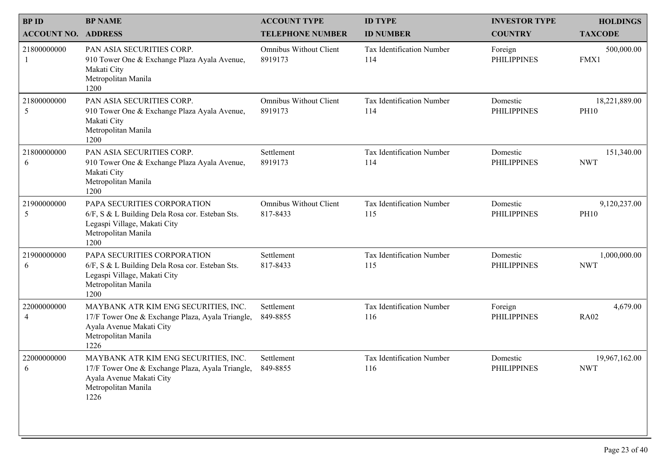|                                           | <b>BP NAME</b>                                                                                                                                      |                                                | <b>ID TYPE</b>                   | <b>INVESTOR TYPE</b>           |                                   |
|-------------------------------------------|-----------------------------------------------------------------------------------------------------------------------------------------------------|------------------------------------------------|----------------------------------|--------------------------------|-----------------------------------|
| <b>BPID</b><br><b>ACCOUNT NO. ADDRESS</b> |                                                                                                                                                     | <b>ACCOUNT TYPE</b><br><b>TELEPHONE NUMBER</b> | <b>ID NUMBER</b>                 | <b>COUNTRY</b>                 | <b>HOLDINGS</b><br><b>TAXCODE</b> |
| 21800000000                               | PAN ASIA SECURITIES CORP.<br>910 Tower One & Exchange Plaza Ayala Avenue,<br>Makati City<br>Metropolitan Manila<br>1200                             | <b>Omnibus Without Client</b><br>8919173       | Tax Identification Number<br>114 | Foreign<br><b>PHILIPPINES</b>  | 500,000.00<br>FMX1                |
| 21800000000<br>5                          | PAN ASIA SECURITIES CORP.<br>910 Tower One & Exchange Plaza Ayala Avenue,<br>Makati City<br>Metropolitan Manila<br>1200                             | <b>Omnibus Without Client</b><br>8919173       | Tax Identification Number<br>114 | Domestic<br><b>PHILIPPINES</b> | 18,221,889.00<br><b>PH10</b>      |
| 21800000000<br>6                          | PAN ASIA SECURITIES CORP.<br>910 Tower One & Exchange Plaza Ayala Avenue,<br>Makati City<br>Metropolitan Manila<br>1200                             | Settlement<br>8919173                          | Tax Identification Number<br>114 | Domestic<br><b>PHILIPPINES</b> | 151,340.00<br><b>NWT</b>          |
| 21900000000<br>5                          | PAPA SECURITIES CORPORATION<br>6/F, S & L Building Dela Rosa cor. Esteban Sts.<br>Legaspi Village, Makati City<br>Metropolitan Manila<br>1200       | <b>Omnibus Without Client</b><br>817-8433      | Tax Identification Number<br>115 | Domestic<br><b>PHILIPPINES</b> | 9,120,237.00<br><b>PH10</b>       |
| 21900000000<br>6                          | PAPA SECURITIES CORPORATION<br>6/F, S & L Building Dela Rosa cor. Esteban Sts.<br>Legaspi Village, Makati City<br>Metropolitan Manila<br>1200       | Settlement<br>817-8433                         | Tax Identification Number<br>115 | Domestic<br><b>PHILIPPINES</b> | 1,000,000.00<br><b>NWT</b>        |
| 22000000000<br>$\overline{4}$             | MAYBANK ATR KIM ENG SECURITIES, INC.<br>17/F Tower One & Exchange Plaza, Ayala Triangle,<br>Ayala Avenue Makati City<br>Metropolitan Manila<br>1226 | Settlement<br>849-8855                         | Tax Identification Number<br>116 | Foreign<br><b>PHILIPPINES</b>  | 4,679.00<br><b>RA02</b>           |
| 22000000000<br>6                          | MAYBANK ATR KIM ENG SECURITIES, INC.<br>17/F Tower One & Exchange Plaza, Ayala Triangle,<br>Ayala Avenue Makati City<br>Metropolitan Manila<br>1226 | Settlement<br>849-8855                         | Tax Identification Number<br>116 | Domestic<br><b>PHILIPPINES</b> | 19,967,162.00<br><b>NWT</b>       |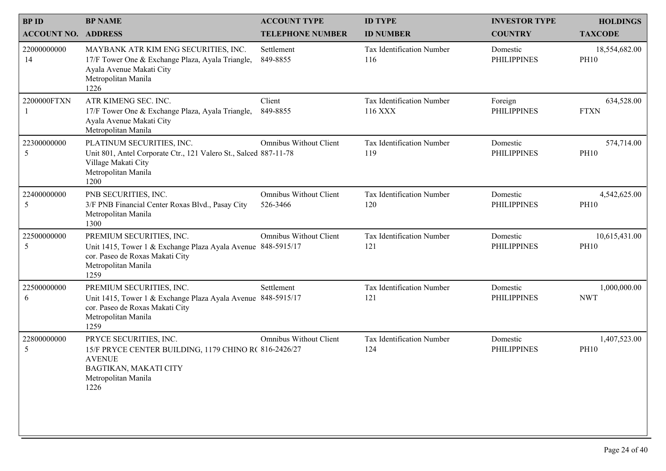| <b>BPID</b>                | <b>BP NAME</b>                                                                                                                                             | <b>ACCOUNT TYPE</b>                       | <b>ID TYPE</b>                       | <b>INVESTOR TYPE</b>           | <b>HOLDINGS</b>              |
|----------------------------|------------------------------------------------------------------------------------------------------------------------------------------------------------|-------------------------------------------|--------------------------------------|--------------------------------|------------------------------|
| <b>ACCOUNT NO. ADDRESS</b> |                                                                                                                                                            | <b>TELEPHONE NUMBER</b>                   | <b>ID NUMBER</b>                     | <b>COUNTRY</b>                 | <b>TAXCODE</b>               |
| 22000000000<br>14          | MAYBANK ATR KIM ENG SECURITIES, INC.<br>17/F Tower One & Exchange Plaza, Ayala Triangle,<br>Ayala Avenue Makati City<br>Metropolitan Manila<br>1226        | Settlement<br>849-8855                    | Tax Identification Number<br>116     | Domestic<br><b>PHILIPPINES</b> | 18,554,682.00<br><b>PH10</b> |
| 2200000FTXN                | ATR KIMENG SEC. INC.<br>17/F Tower One & Exchange Plaza, Ayala Triangle,<br>Ayala Avenue Makati City<br>Metropolitan Manila                                | Client<br>849-8855                        | Tax Identification Number<br>116 XXX | Foreign<br><b>PHILIPPINES</b>  | 634,528.00<br><b>FTXN</b>    |
| 22300000000<br>5           | PLATINUM SECURITIES, INC.<br>Unit 801, Antel Corporate Ctr., 121 Valero St., Salced 887-11-78<br>Village Makati City<br>Metropolitan Manila<br>1200        | <b>Omnibus Without Client</b>             | Tax Identification Number<br>119     | Domestic<br><b>PHILIPPINES</b> | 574,714.00<br><b>PH10</b>    |
| 22400000000<br>5           | PNB SECURITIES, INC.<br>3/F PNB Financial Center Roxas Blvd., Pasay City<br>Metropolitan Manila<br>1300                                                    | <b>Omnibus Without Client</b><br>526-3466 | Tax Identification Number<br>120     | Domestic<br><b>PHILIPPINES</b> | 4,542,625.00<br><b>PH10</b>  |
| 22500000000<br>5           | PREMIUM SECURITIES, INC.<br>Unit 1415, Tower 1 & Exchange Plaza Ayala Avenue 848-5915/17<br>cor. Paseo de Roxas Makati City<br>Metropolitan Manila<br>1259 | <b>Omnibus Without Client</b>             | Tax Identification Number<br>121     | Domestic<br><b>PHILIPPINES</b> | 10,615,431.00<br><b>PH10</b> |
| 22500000000<br>6           | PREMIUM SECURITIES, INC.<br>Unit 1415, Tower 1 & Exchange Plaza Ayala Avenue 848-5915/17<br>cor. Paseo de Roxas Makati City<br>Metropolitan Manila<br>1259 | Settlement                                | Tax Identification Number<br>121     | Domestic<br><b>PHILIPPINES</b> | 1,000,000.00<br><b>NWT</b>   |
| 22800000000<br>5           | PRYCE SECURITIES, INC.<br>15/F PRYCE CENTER BUILDING, 1179 CHINO R(816-2426/27<br><b>AVENUE</b><br>BAGTIKAN, MAKATI CITY<br>Metropolitan Manila<br>1226    | <b>Omnibus Without Client</b>             | Tax Identification Number<br>124     | Domestic<br><b>PHILIPPINES</b> | 1,407,523.00<br><b>PH10</b>  |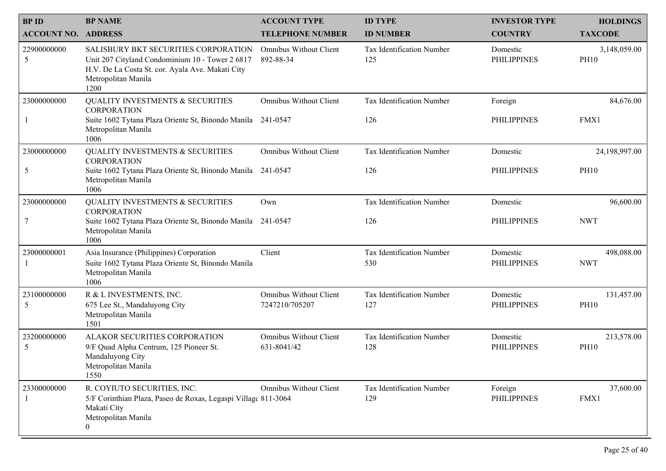| <b>BPID</b>                | <b>BP NAME</b>                                                                                                                                                             | <b>ACCOUNT TYPE</b>                             | <b>ID TYPE</b>                   | <b>INVESTOR TYPE</b>           | <b>HOLDINGS</b>             |
|----------------------------|----------------------------------------------------------------------------------------------------------------------------------------------------------------------------|-------------------------------------------------|----------------------------------|--------------------------------|-----------------------------|
| <b>ACCOUNT NO. ADDRESS</b> |                                                                                                                                                                            | <b>TELEPHONE NUMBER</b>                         | <b>ID NUMBER</b>                 | <b>COUNTRY</b>                 | <b>TAXCODE</b>              |
| 22900000000<br>5           | SALISBURY BKT SECURITIES CORPORATION<br>Unit 207 Cityland Condominium 10 - Tower 2 6817<br>H.V. De La Costa St. cor. Ayala Ave. Makati City<br>Metropolitan Manila<br>1200 | <b>Omnibus Without Client</b><br>892-88-34      | Tax Identification Number<br>125 | Domestic<br><b>PHILIPPINES</b> | 3,148,059.00<br><b>PH10</b> |
| 23000000000                | <b>QUALITY INVESTMENTS &amp; SECURITIES</b>                                                                                                                                | <b>Omnibus Without Client</b>                   | Tax Identification Number        | Foreign                        | 84,676.00                   |
|                            | <b>CORPORATION</b><br>Suite 1602 Tytana Plaza Oriente St, Binondo Manila 241-0547<br>Metropolitan Manila<br>1006                                                           |                                                 | 126                              | <b>PHILIPPINES</b>             | FMX1                        |
| 23000000000                | <b>QUALITY INVESTMENTS &amp; SECURITIES</b><br><b>CORPORATION</b>                                                                                                          | <b>Omnibus Without Client</b>                   | Tax Identification Number        | Domestic                       | 24,198,997.00               |
| 5                          | Suite 1602 Tytana Plaza Oriente St, Binondo Manila 241-0547<br>Metropolitan Manila<br>1006                                                                                 |                                                 | 126                              | <b>PHILIPPINES</b>             | <b>PH10</b>                 |
| 23000000000                | <b>QUALITY INVESTMENTS &amp; SECURITIES</b><br><b>CORPORATION</b>                                                                                                          | Own                                             | Tax Identification Number        | Domestic                       | 96,600.00                   |
| 7                          | Suite 1602 Tytana Plaza Oriente St, Binondo Manila 241-0547<br>Metropolitan Manila<br>1006                                                                                 |                                                 | 126                              | <b>PHILIPPINES</b>             | <b>NWT</b>                  |
| 23000000001                | Asia Insurance (Philippines) Corporation<br>Suite 1602 Tytana Plaza Oriente St, Binondo Manila<br>Metropolitan Manila<br>1006                                              | Client                                          | Tax Identification Number<br>530 | Domestic<br><b>PHILIPPINES</b> | 498,088.00<br><b>NWT</b>    |
| 23100000000<br>5           | R & L INVESTMENTS, INC.<br>675 Lee St., Mandaluyong City<br>Metropolitan Manila<br>1501                                                                                    | <b>Omnibus Without Client</b><br>7247210/705207 | Tax Identification Number<br>127 | Domestic<br><b>PHILIPPINES</b> | 131,457.00<br><b>PH10</b>   |
| 23200000000<br>5           | ALAKOR SECURITIES CORPORATION<br>9/F Quad Alpha Centrum, 125 Pioneer St.<br>Mandaluyong City<br>Metropolitan Manila<br>1550                                                | <b>Omnibus Without Client</b><br>631-8041/42    | Tax Identification Number<br>128 | Domestic<br><b>PHILIPPINES</b> | 213,578.00<br><b>PH10</b>   |
| 23300000000                | R. COYIUTO SECURITIES, INC.<br>5/F Corinthian Plaza, Paseo de Roxas, Legaspi Village 811-3064<br>Makati City<br>Metropolitan Manila<br>$\overline{0}$                      | <b>Omnibus Without Client</b>                   | Tax Identification Number<br>129 | Foreign<br><b>PHILIPPINES</b>  | 37,600.00<br>FMX1           |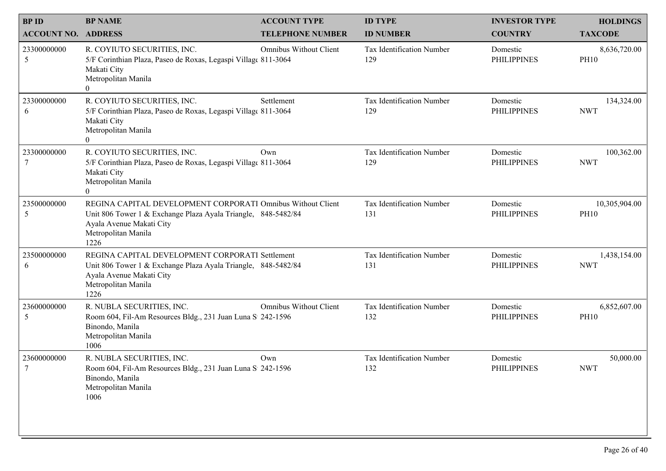| <b>BPID</b>                | <b>BP NAME</b>                                                                                                                                                                          | <b>ACCOUNT TYPE</b>           | <b>ID TYPE</b>                   | <b>INVESTOR TYPE</b>           | <b>HOLDINGS</b>              |
|----------------------------|-----------------------------------------------------------------------------------------------------------------------------------------------------------------------------------------|-------------------------------|----------------------------------|--------------------------------|------------------------------|
| <b>ACCOUNT NO. ADDRESS</b> |                                                                                                                                                                                         | <b>TELEPHONE NUMBER</b>       | <b>ID NUMBER</b>                 | <b>COUNTRY</b>                 | <b>TAXCODE</b>               |
| 23300000000<br>5           | R. COYIUTO SECURITIES, INC.<br>5/F Corinthian Plaza, Paseo de Roxas, Legaspi Village 811-3064<br>Makati City<br>Metropolitan Manila<br>$\theta$                                         | <b>Omnibus Without Client</b> | Tax Identification Number<br>129 | Domestic<br><b>PHILIPPINES</b> | 8,636,720.00<br><b>PH10</b>  |
| 23300000000<br>6           | R. COYIUTO SECURITIES, INC.<br>5/F Corinthian Plaza, Paseo de Roxas, Legaspi Village 811-3064<br>Makati City<br>Metropolitan Manila<br>$\Omega$                                         | Settlement                    | Tax Identification Number<br>129 | Domestic<br><b>PHILIPPINES</b> | 134,324.00<br><b>NWT</b>     |
| 23300000000                | R. COYIUTO SECURITIES, INC.<br>5/F Corinthian Plaza, Paseo de Roxas, Legaspi Village 811-3064<br>Makati City<br>Metropolitan Manila<br>$\overline{0}$                                   | Own                           | Tax Identification Number<br>129 | Domestic<br><b>PHILIPPINES</b> | 100,362.00<br><b>NWT</b>     |
| 23500000000<br>5           | REGINA CAPITAL DEVELOPMENT CORPORATI Omnibus Without Client<br>Unit 806 Tower 1 & Exchange Plaza Ayala Triangle, 848-5482/84<br>Ayala Avenue Makati City<br>Metropolitan Manila<br>1226 |                               | Tax Identification Number<br>131 | Domestic<br><b>PHILIPPINES</b> | 10,305,904.00<br><b>PH10</b> |
| 23500000000<br>6           | REGINA CAPITAL DEVELOPMENT CORPORATI Settlement<br>Unit 806 Tower 1 & Exchange Plaza Ayala Triangle, 848-5482/84<br>Ayala Avenue Makati City<br>Metropolitan Manila<br>1226             |                               | Tax Identification Number<br>131 | Domestic<br><b>PHILIPPINES</b> | 1,438,154.00<br><b>NWT</b>   |
| 23600000000<br>5           | R. NUBLA SECURITIES, INC.<br>Room 604, Fil-Am Resources Bldg., 231 Juan Luna S 242-1596<br>Binondo, Manila<br>Metropolitan Manila<br>1006                                               | Omnibus Without Client        | Tax Identification Number<br>132 | Domestic<br><b>PHILIPPINES</b> | 6,852,607.00<br><b>PH10</b>  |
| 23600000000                | R. NUBLA SECURITIES, INC.<br>Room 604, Fil-Am Resources Bldg., 231 Juan Luna S 242-1596<br>Binondo, Manila<br>Metropolitan Manila<br>1006                                               | Own                           | Tax Identification Number<br>132 | Domestic<br><b>PHILIPPINES</b> | 50,000.00<br><b>NWT</b>      |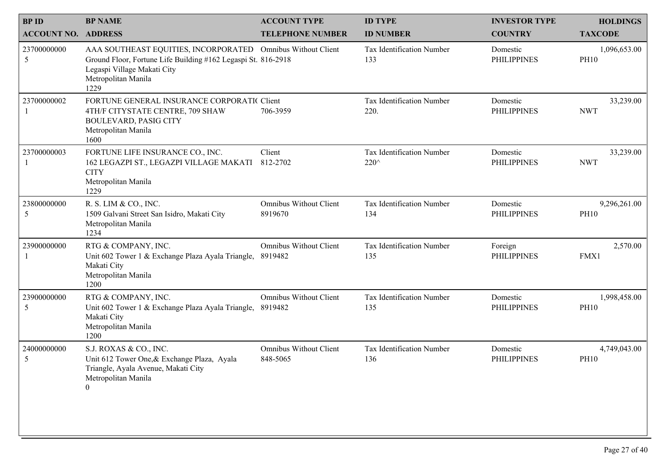| <b>BPID</b><br><b>ACCOUNT NO. ADDRESS</b> | <b>BP NAME</b>                                                                                                                                                                             | <b>ACCOUNT TYPE</b><br><b>TELEPHONE NUMBER</b> | <b>ID TYPE</b><br><b>ID NUMBER</b> | <b>INVESTOR TYPE</b><br><b>COUNTRY</b> | <b>HOLDINGS</b><br><b>TAXCODE</b> |
|-------------------------------------------|--------------------------------------------------------------------------------------------------------------------------------------------------------------------------------------------|------------------------------------------------|------------------------------------|----------------------------------------|-----------------------------------|
| 23700000000<br>$\mathfrak{S}$             | AAA SOUTHEAST EQUITIES, INCORPORATED Omnibus Without Client<br>Ground Floor, Fortune Life Building #162 Legaspi St. 816-2918<br>Legaspi Village Makati City<br>Metropolitan Manila<br>1229 |                                                | Tax Identification Number<br>133   | Domestic<br><b>PHILIPPINES</b>         | 1,096,653.00<br><b>PH10</b>       |
| 23700000002                               | FORTUNE GENERAL INSURANCE CORPORATIC Client<br>4TH/F CITYSTATE CENTRE, 709 SHAW<br><b>BOULEVARD, PASIG CITY</b><br>Metropolitan Manila<br>1600                                             | 706-3959                                       | Tax Identification Number<br>220.  | Domestic<br><b>PHILIPPINES</b>         | 33,239.00<br><b>NWT</b>           |
| 23700000003                               | FORTUNE LIFE INSURANCE CO., INC.<br>162 LEGAZPI ST., LEGAZPI VILLAGE MAKATI<br><b>CITY</b><br>Metropolitan Manila<br>1229                                                                  | Client<br>812-2702                             | Tax Identification Number<br>220^  | Domestic<br><b>PHILIPPINES</b>         | 33,239.00<br><b>NWT</b>           |
| 23800000000<br>$\mathfrak{S}$             | R. S. LIM & CO., INC.<br>1509 Galvani Street San Isidro, Makati City<br>Metropolitan Manila<br>1234                                                                                        | <b>Omnibus Without Client</b><br>8919670       | Tax Identification Number<br>134   | Domestic<br><b>PHILIPPINES</b>         | 9,296,261.00<br><b>PH10</b>       |
| 23900000000                               | RTG & COMPANY, INC.<br>Unit 602 Tower 1 & Exchange Plaza Ayala Triangle,<br>Makati City<br>Metropolitan Manila<br>1200                                                                     | <b>Omnibus Without Client</b><br>8919482       | Tax Identification Number<br>135   | Foreign<br><b>PHILIPPINES</b>          | 2,570.00<br>FMX1                  |
| 23900000000<br>5                          | RTG & COMPANY, INC.<br>Unit 602 Tower 1 & Exchange Plaza Ayala Triangle, 8919482<br>Makati City<br>Metropolitan Manila<br>1200                                                             | Omnibus Without Client                         | Tax Identification Number<br>135   | Domestic<br><b>PHILIPPINES</b>         | 1,998,458.00<br><b>PH10</b>       |
| 24000000000<br>5                          | S.J. ROXAS & CO., INC.<br>Unit 612 Tower One, & Exchange Plaza, Ayala<br>Triangle, Ayala Avenue, Makati City<br>Metropolitan Manila<br>$\mathbf{0}$                                        | <b>Omnibus Without Client</b><br>848-5065      | Tax Identification Number<br>136   | Domestic<br><b>PHILIPPINES</b>         | 4,749,043.00<br><b>PH10</b>       |
|                                           |                                                                                                                                                                                            |                                                |                                    |                                        |                                   |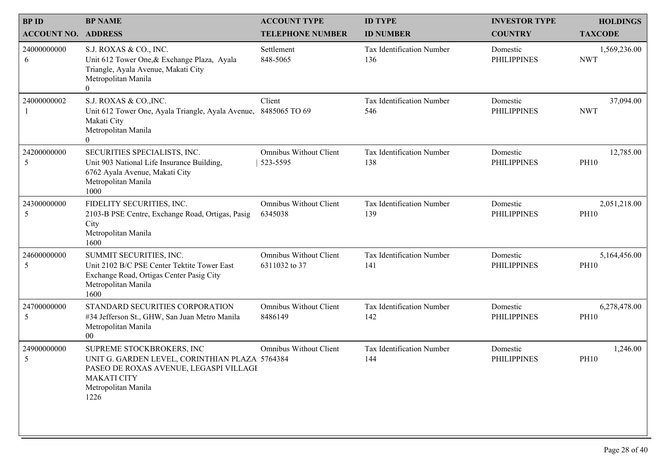|                                           | <b>BP NAME</b>                                                                                                                                                              | <b>ACCOUNT TYPE</b>                            | <b>ID TYPE</b>                   |                                        |                                   |
|-------------------------------------------|-----------------------------------------------------------------------------------------------------------------------------------------------------------------------------|------------------------------------------------|----------------------------------|----------------------------------------|-----------------------------------|
| <b>BPID</b><br><b>ACCOUNT NO. ADDRESS</b> |                                                                                                                                                                             | <b>TELEPHONE NUMBER</b>                        | <b>ID NUMBER</b>                 | <b>INVESTOR TYPE</b><br><b>COUNTRY</b> | <b>HOLDINGS</b><br><b>TAXCODE</b> |
| 24000000000<br>6                          | S.J. ROXAS & CO., INC.<br>Unit 612 Tower One, & Exchange Plaza, Ayala<br>Triangle, Ayala Avenue, Makati City<br>Metropolitan Manila<br>$\overline{0}$                       | Settlement<br>848-5065                         | Tax Identification Number<br>136 | Domestic<br><b>PHILIPPINES</b>         | 1,569,236.00<br><b>NWT</b>        |
| 24000000002                               | S.J. ROXAS & CO., INC.<br>Unit 612 Tower One, Ayala Triangle, Ayala Avenue, 8485065 TO 69<br>Makati City<br>Metropolitan Manila<br>$\Omega$                                 | Client                                         | Tax Identification Number<br>546 | Domestic<br><b>PHILIPPINES</b>         | 37,094.00<br><b>NWT</b>           |
| 24200000000<br>5                          | SECURITIES SPECIALISTS, INC.<br>Unit 903 National Life Insurance Building,<br>6762 Ayala Avenue, Makati City<br>Metropolitan Manila<br>1000                                 | <b>Omnibus Without Client</b><br>523-5595      | Tax Identification Number<br>138 | Domestic<br><b>PHILIPPINES</b>         | 12,785.00<br><b>PH10</b>          |
| 24300000000<br>5                          | FIDELITY SECURITIES, INC.<br>2103-B PSE Centre, Exchange Road, Ortigas, Pasig<br>City<br>Metropolitan Manila<br>1600                                                        | <b>Omnibus Without Client</b><br>6345038       | Tax Identification Number<br>139 | Domestic<br><b>PHILIPPINES</b>         | 2,051,218.00<br><b>PH10</b>       |
| 24600000000<br>5                          | SUMMIT SECURITIES, INC.<br>Unit 2102 B/C PSE Center Tektite Tower East<br>Exchange Road, Ortigas Center Pasig City<br>Metropolitan Manila<br>1600                           | <b>Omnibus Without Client</b><br>6311032 to 37 | Tax Identification Number<br>141 | Domestic<br><b>PHILIPPINES</b>         | 5,164,456.00<br><b>PH10</b>       |
| 24700000000<br>5                          | STANDARD SECURITIES CORPORATION<br>#34 Jefferson St., GHW, San Juan Metro Manila<br>Metropolitan Manila<br>$00\,$                                                           | Omnibus Without Client<br>8486149              | Tax Identification Number<br>142 | Domestic<br><b>PHILIPPINES</b>         | 6,278,478.00<br><b>PH10</b>       |
| 24900000000<br>5                          | SUPREME STOCKBROKERS, INC<br>UNIT G. GARDEN LEVEL, CORINTHIAN PLAZA. 5764384<br>PASEO DE ROXAS AVENUE, LEGASPI VILLAGE<br><b>MAKATI CITY</b><br>Metropolitan Manila<br>1226 | <b>Omnibus Without Client</b>                  | Tax Identification Number<br>144 | Domestic<br><b>PHILIPPINES</b>         | 1,246.00<br><b>PH10</b>           |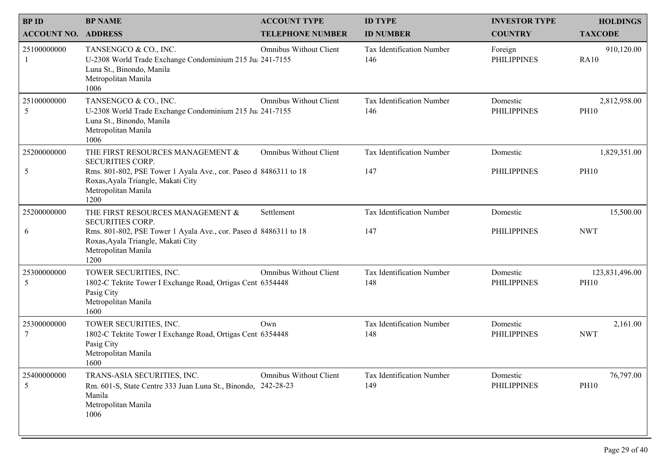| <b>BPID</b><br><b>ACCOUNT NO. ADDRESS</b> | <b>BP NAME</b>                                                                                                                                                                                       | <b>ACCOUNT TYPE</b><br><b>TELEPHONE NUMBER</b> | <b>ID TYPE</b><br><b>ID NUMBER</b> | <b>INVESTOR TYPE</b><br><b>COUNTRY</b> | <b>HOLDINGS</b><br><b>TAXCODE</b> |
|-------------------------------------------|------------------------------------------------------------------------------------------------------------------------------------------------------------------------------------------------------|------------------------------------------------|------------------------------------|----------------------------------------|-----------------------------------|
| 25100000000                               | TANSENGCO & CO., INC.<br>U-2308 World Trade Exchange Condominium 215 Ju  241-7155<br>Luna St., Binondo, Manila<br>Metropolitan Manila<br>1006                                                        | <b>Omnibus Without Client</b>                  | Tax Identification Number<br>146   | Foreign<br><b>PHILIPPINES</b>          | 910,120.00<br><b>RA10</b>         |
| 25100000000<br>5                          | TANSENGCO & CO., INC.<br>U-2308 World Trade Exchange Condominium 215 Ju  241-7155<br>Luna St., Binondo, Manila<br>Metropolitan Manila<br>1006                                                        | <b>Omnibus Without Client</b>                  | Tax Identification Number<br>146   | Domestic<br><b>PHILIPPINES</b>         | 2,812,958.00<br><b>PH10</b>       |
| 25200000000<br>5                          | THE FIRST RESOURCES MANAGEMENT &<br><b>SECURITIES CORP.</b><br>Rms. 801-802, PSE Tower 1 Ayala Ave., cor. Paseo d 8486311 to 18<br>Roxas, Ayala Triangle, Makati City<br>Metropolitan Manila<br>1200 | <b>Omnibus Without Client</b>                  | Tax Identification Number<br>147   | Domestic<br><b>PHILIPPINES</b>         | 1,829,351.00<br><b>PH10</b>       |
| 25200000000<br>6                          | THE FIRST RESOURCES MANAGEMENT &<br><b>SECURITIES CORP.</b><br>Rms. 801-802, PSE Tower 1 Ayala Ave., cor. Paseo d 8486311 to 18<br>Roxas, Ayala Triangle, Makati City<br>Metropolitan Manila<br>1200 | Settlement                                     | Tax Identification Number<br>147   | Domestic<br><b>PHILIPPINES</b>         | 15,500.00<br><b>NWT</b>           |
| 25300000000<br>5                          | TOWER SECURITIES, INC.<br>1802-C Tektite Tower I Exchange Road, Ortigas Cent 6354448<br>Pasig City<br>Metropolitan Manila<br>1600                                                                    | <b>Omnibus Without Client</b>                  | Tax Identification Number<br>148   | Domestic<br><b>PHILIPPINES</b>         | 123,831,496.00<br><b>PH10</b>     |
| 25300000000<br>7                          | TOWER SECURITIES, INC.<br>1802-C Tektite Tower I Exchange Road, Ortigas Cent 6354448<br>Pasig City<br>Metropolitan Manila<br>1600                                                                    | Own                                            | Tax Identification Number<br>148   | Domestic<br><b>PHILIPPINES</b>         | 2,161.00<br><b>NWT</b>            |
| 25400000000<br>5                          | TRANS-ASIA SECURITIES, INC.<br>Rm. 601-S, State Centre 333 Juan Luna St., Binondo, 242-28-23<br>Manila<br>Metropolitan Manila<br>1006                                                                | <b>Omnibus Without Client</b>                  | Tax Identification Number<br>149   | Domestic<br><b>PHILIPPINES</b>         | 76,797.00<br><b>PH10</b>          |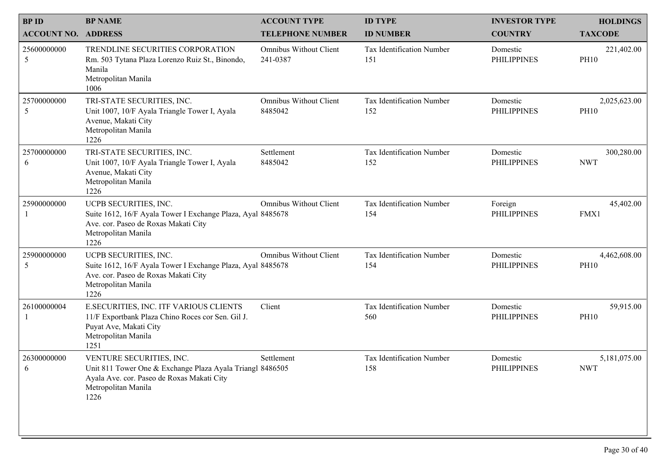| <b>BPID</b>                | <b>BP NAME</b>                                                                                                                                                     | <b>ACCOUNT TYPE</b>                       | <b>ID TYPE</b>                   | <b>INVESTOR TYPE</b>           | <b>HOLDINGS</b>             |
|----------------------------|--------------------------------------------------------------------------------------------------------------------------------------------------------------------|-------------------------------------------|----------------------------------|--------------------------------|-----------------------------|
| <b>ACCOUNT NO. ADDRESS</b> |                                                                                                                                                                    | <b>TELEPHONE NUMBER</b>                   | <b>ID NUMBER</b>                 | <b>COUNTRY</b>                 | <b>TAXCODE</b>              |
| 25600000000<br>5           | TRENDLINE SECURITIES CORPORATION<br>Rm. 503 Tytana Plaza Lorenzo Ruiz St., Binondo,<br>Manila<br>Metropolitan Manila<br>1006                                       | <b>Omnibus Without Client</b><br>241-0387 | Tax Identification Number<br>151 | Domestic<br><b>PHILIPPINES</b> | 221,402.00<br><b>PH10</b>   |
| 25700000000<br>5           | TRI-STATE SECURITIES, INC.<br>Unit 1007, 10/F Ayala Triangle Tower I, Ayala<br>Avenue, Makati City<br>Metropolitan Manila<br>1226                                  | <b>Omnibus Without Client</b><br>8485042  | Tax Identification Number<br>152 | Domestic<br><b>PHILIPPINES</b> | 2,025,623.00<br><b>PH10</b> |
| 25700000000<br>6           | TRI-STATE SECURITIES, INC.<br>Unit 1007, 10/F Ayala Triangle Tower I, Ayala<br>Avenue, Makati City<br>Metropolitan Manila<br>1226                                  | Settlement<br>8485042                     | Tax Identification Number<br>152 | Domestic<br><b>PHILIPPINES</b> | 300,280.00<br><b>NWT</b>    |
| 25900000000                | UCPB SECURITIES, INC.<br>Suite 1612, 16/F Ayala Tower I Exchange Plaza, Ayal 8485678<br>Ave. cor. Paseo de Roxas Makati City<br>Metropolitan Manila<br>1226        | <b>Omnibus Without Client</b>             | Tax Identification Number<br>154 | Foreign<br><b>PHILIPPINES</b>  | 45,402.00<br>FMX1           |
| 25900000000<br>5           | UCPB SECURITIES, INC.<br>Suite 1612, 16/F Ayala Tower I Exchange Plaza, Ayal 8485678<br>Ave. cor. Paseo de Roxas Makati City<br>Metropolitan Manila<br>1226        | <b>Omnibus Without Client</b>             | Tax Identification Number<br>154 | Domestic<br><b>PHILIPPINES</b> | 4,462,608.00<br><b>PH10</b> |
| 26100000004                | E.SECURITIES, INC. ITF VARIOUS CLIENTS<br>11/F Exportbank Plaza Chino Roces cor Sen. Gil J.<br>Puyat Ave, Makati City<br>Metropolitan Manila<br>1251               | Client                                    | Tax Identification Number<br>560 | Domestic<br><b>PHILIPPINES</b> | 59,915.00<br><b>PH10</b>    |
| 26300000000<br>6           | VENTURE SECURITIES, INC.<br>Unit 811 Tower One & Exchange Plaza Ayala Triangl 8486505<br>Ayala Ave. cor. Paseo de Roxas Makati City<br>Metropolitan Manila<br>1226 | Settlement                                | Tax Identification Number<br>158 | Domestic<br><b>PHILIPPINES</b> | 5,181,075.00<br><b>NWT</b>  |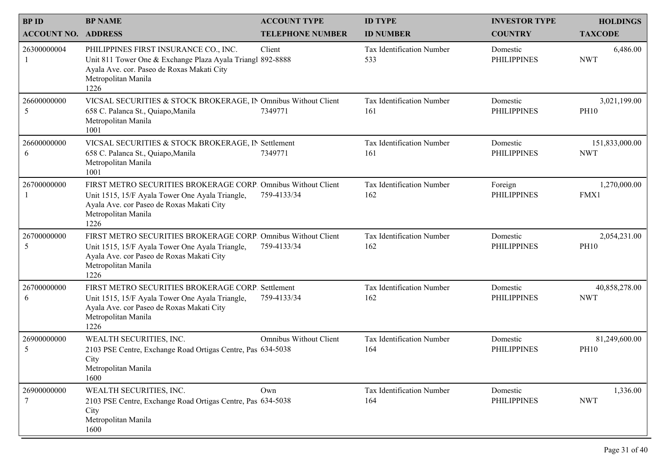| <b>BPID</b><br><b>ACCOUNT NO. ADDRESS</b> | <b>BP NAME</b>                                                                                                                                                                               | <b>ACCOUNT TYPE</b><br><b>TELEPHONE NUMBER</b> | <b>ID TYPE</b><br><b>ID NUMBER</b> | <b>INVESTOR TYPE</b><br><b>COUNTRY</b> | <b>HOLDINGS</b><br><b>TAXCODE</b> |
|-------------------------------------------|----------------------------------------------------------------------------------------------------------------------------------------------------------------------------------------------|------------------------------------------------|------------------------------------|----------------------------------------|-----------------------------------|
| 26300000004                               | PHILIPPINES FIRST INSURANCE CO., INC.<br>Unit 811 Tower One & Exchange Plaza Ayala Triangl 892-8888<br>Ayala Ave. cor. Paseo de Roxas Makati City<br>Metropolitan Manila<br>1226             | Client                                         | Tax Identification Number<br>533   | Domestic<br><b>PHILIPPINES</b>         | 6,486.00<br><b>NWT</b>            |
| 26600000000<br>5                          | VICSAL SECURITIES & STOCK BROKERAGE, IN Omnibus Without Client<br>658 C. Palanca St., Quiapo, Manila<br>Metropolitan Manila<br>1001                                                          | 7349771                                        | Tax Identification Number<br>161   | Domestic<br><b>PHILIPPINES</b>         | 3,021,199.00<br><b>PH10</b>       |
| 26600000000<br>6                          | VICSAL SECURITIES & STOCK BROKERAGE, IN Settlement<br>658 C. Palanca St., Quiapo, Manila<br>Metropolitan Manila<br>1001                                                                      | 7349771                                        | Tax Identification Number<br>161   | Domestic<br><b>PHILIPPINES</b>         | 151,833,000.00<br><b>NWT</b>      |
| 26700000000                               | FIRST METRO SECURITIES BROKERAGE CORP. Omnibus Without Client<br>Unit 1515, 15/F Ayala Tower One Ayala Triangle,<br>Ayala Ave. cor Paseo de Roxas Makati City<br>Metropolitan Manila<br>1226 | 759-4133/34                                    | Tax Identification Number<br>162   | Foreign<br><b>PHILIPPINES</b>          | 1,270,000.00<br>FMX1              |
| 26700000000<br>5                          | FIRST METRO SECURITIES BROKERAGE CORP. Omnibus Without Client<br>Unit 1515, 15/F Ayala Tower One Ayala Triangle,<br>Ayala Ave. cor Paseo de Roxas Makati City<br>Metropolitan Manila<br>1226 | 759-4133/34                                    | Tax Identification Number<br>162   | Domestic<br><b>PHILIPPINES</b>         | 2,054,231.00<br><b>PH10</b>       |
| 26700000000<br>6                          | FIRST METRO SECURITIES BROKERAGE CORP. Settlement<br>Unit 1515, 15/F Ayala Tower One Ayala Triangle,<br>Ayala Ave. cor Paseo de Roxas Makati City<br>Metropolitan Manila<br>1226             | 759-4133/34                                    | Tax Identification Number<br>162   | Domestic<br><b>PHILIPPINES</b>         | 40,858,278.00<br><b>NWT</b>       |
| 26900000000<br>5                          | WEALTH SECURITIES, INC.<br>2103 PSE Centre, Exchange Road Ortigas Centre, Pas 634-5038<br>City<br>Metropolitan Manila<br>1600                                                                | <b>Omnibus Without Client</b>                  | Tax Identification Number<br>164   | Domestic<br><b>PHILIPPINES</b>         | 81,249,600.00<br><b>PH10</b>      |
| 26900000000                               | WEALTH SECURITIES, INC.<br>2103 PSE Centre, Exchange Road Ortigas Centre, Pas 634-5038<br>City<br>Metropolitan Manila<br>1600                                                                | Own                                            | Tax Identification Number<br>164   | Domestic<br><b>PHILIPPINES</b>         | 1,336.00<br><b>NWT</b>            |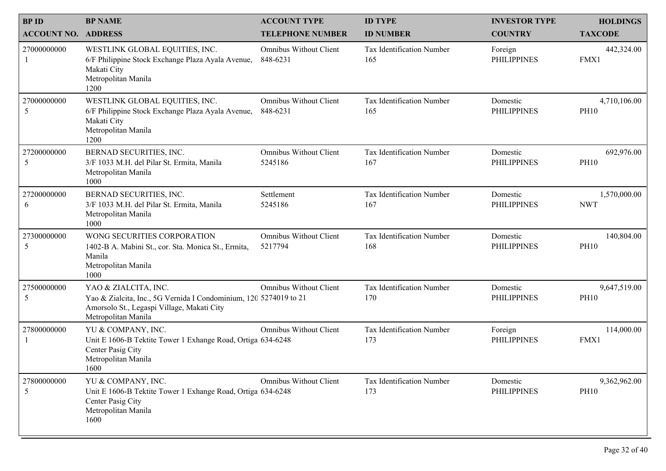| <b>BPID</b><br><b>ACCOUNT NO. ADDRESS</b> | <b>BP NAME</b>                                                                                                                                                 | <b>ACCOUNT TYPE</b><br><b>TELEPHONE NUMBER</b> | <b>ID TYPE</b><br><b>ID NUMBER</b> | <b>INVESTOR TYPE</b><br><b>COUNTRY</b> | <b>HOLDINGS</b><br><b>TAXCODE</b> |  |
|-------------------------------------------|----------------------------------------------------------------------------------------------------------------------------------------------------------------|------------------------------------------------|------------------------------------|----------------------------------------|-----------------------------------|--|
| 27000000000                               | WESTLINK GLOBAL EQUITIES, INC.<br>6/F Philippine Stock Exchange Plaza Ayala Avenue,<br>Makati City<br>Metropolitan Manila<br>1200                              | <b>Omnibus Without Client</b><br>848-6231      | Tax Identification Number<br>165   | Foreign<br><b>PHILIPPINES</b>          | 442,324.00<br>FMX1                |  |
| 27000000000<br>5                          | WESTLINK GLOBAL EQUITIES, INC.<br>6/F Philippine Stock Exchange Plaza Ayala Avenue,<br>Makati City<br>Metropolitan Manila<br>1200                              | <b>Omnibus Without Client</b><br>848-6231      | Tax Identification Number<br>165   | Domestic<br><b>PHILIPPINES</b>         | 4,710,106.00<br><b>PH10</b>       |  |
| 27200000000<br>5                          | BERNAD SECURITIES, INC.<br>3/F 1033 M.H. del Pilar St. Ermita, Manila<br>Metropolitan Manila<br>1000                                                           | <b>Omnibus Without Client</b><br>5245186       | Tax Identification Number<br>167   | Domestic<br><b>PHILIPPINES</b>         | 692,976.00<br><b>PH10</b>         |  |
| 27200000000<br>6                          | BERNAD SECURITIES, INC.<br>3/F 1033 M.H. del Pilar St. Ermita, Manila<br>Metropolitan Manila<br>1000                                                           | Settlement<br>5245186                          | Tax Identification Number<br>167   | Domestic<br><b>PHILIPPINES</b>         | 1,570,000.00<br><b>NWT</b>        |  |
| 27300000000<br>5                          | WONG SECURITIES CORPORATION<br>1402-B A. Mabini St., cor. Sta. Monica St., Ermita,<br>Manila<br>Metropolitan Manila<br>1000                                    | <b>Omnibus Without Client</b><br>5217794       | Tax Identification Number<br>168   | Domestic<br><b>PHILIPPINES</b>         | 140,804.00<br><b>PH10</b>         |  |
| 27500000000<br>$\sqrt{5}$                 | YAO & ZIALCITA, INC.<br>Yao & Zialcita, Inc., 5G Vernida I Condominium, 120 5274019 to 21<br>Amorsolo St., Legaspi Village, Makati City<br>Metropolitan Manila | Omnibus Without Client                         | Tax Identification Number<br>170   | Domestic<br><b>PHILIPPINES</b>         | 9,647,519.00<br><b>PH10</b>       |  |
| 27800000000                               | YU & COMPANY, INC.<br>Unit E 1606-B Tektite Tower 1 Exhange Road, Ortiga 634-6248<br>Center Pasig City<br>Metropolitan Manila<br>1600                          | <b>Omnibus Without Client</b>                  | Tax Identification Number<br>173   | Foreign<br><b>PHILIPPINES</b>          | 114,000.00<br>FMX1                |  |
| 27800000000<br>5                          | YU & COMPANY, INC.<br>Unit E 1606-B Tektite Tower 1 Exhange Road, Ortiga 634-6248<br>Center Pasig City<br>Metropolitan Manila<br>1600                          | Omnibus Without Client                         | Tax Identification Number<br>173   | Domestic<br><b>PHILIPPINES</b>         | 9,362,962.00<br><b>PH10</b>       |  |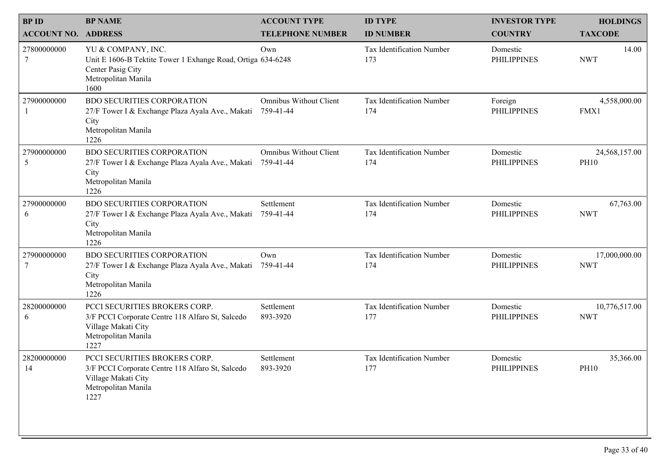| <b>BPID</b>                | <b>BP NAME</b>                                                                                                                          | <b>ACCOUNT TYPE</b>                        | <b>ID TYPE</b>                   | <b>INVESTOR TYPE</b>           | <b>HOLDINGS</b>              |
|----------------------------|-----------------------------------------------------------------------------------------------------------------------------------------|--------------------------------------------|----------------------------------|--------------------------------|------------------------------|
| <b>ACCOUNT NO. ADDRESS</b> |                                                                                                                                         | <b>TELEPHONE NUMBER</b>                    | <b>ID NUMBER</b>                 | <b>COUNTRY</b>                 | <b>TAXCODE</b>               |
| 27800000000<br>7           | YU & COMPANY, INC.<br>Unit E 1606-B Tektite Tower 1 Exhange Road, Ortiga 634-6248<br>Center Pasig City<br>Metropolitan Manila<br>1600   | Own                                        | Tax Identification Number<br>173 | Domestic<br><b>PHILIPPINES</b> | 14.00<br><b>NWT</b>          |
| 27900000000                | <b>BDO SECURITIES CORPORATION</b><br>27/F Tower I & Exchange Plaza Ayala Ave., Makati<br>City<br>Metropolitan Manila<br>1226            | <b>Omnibus Without Client</b><br>759-41-44 | Tax Identification Number<br>174 | Foreign<br><b>PHILIPPINES</b>  | 4,558,000.00<br>FMX1         |
| 27900000000<br>5           | <b>BDO SECURITIES CORPORATION</b><br>27/F Tower I & Exchange Plaza Ayala Ave., Makati<br>City<br>Metropolitan Manila<br>1226            | <b>Omnibus Without Client</b><br>759-41-44 | Tax Identification Number<br>174 | Domestic<br><b>PHILIPPINES</b> | 24,568,157.00<br><b>PH10</b> |
| 27900000000<br>6           | <b>BDO SECURITIES CORPORATION</b><br>27/F Tower I & Exchange Plaza Ayala Ave., Makati<br>City<br>Metropolitan Manila<br>1226            | Settlement<br>759-41-44                    | Tax Identification Number<br>174 | Domestic<br><b>PHILIPPINES</b> | 67,763.00<br><b>NWT</b>      |
| 27900000000<br>7           | <b>BDO SECURITIES CORPORATION</b><br>27/F Tower I & Exchange Plaza Ayala Ave., Makati<br>City<br>Metropolitan Manila<br>1226            | Own<br>759-41-44                           | Tax Identification Number<br>174 | Domestic<br><b>PHILIPPINES</b> | 17,000,000.00<br><b>NWT</b>  |
| 28200000000<br>6           | PCCI SECURITIES BROKERS CORP.<br>3/F PCCI Corporate Centre 118 Alfaro St, Salcedo<br>Village Makati City<br>Metropolitan Manila<br>1227 | Settlement<br>893-3920                     | Tax Identification Number<br>177 | Domestic<br><b>PHILIPPINES</b> | 10,776,517.00<br><b>NWT</b>  |
| 28200000000<br>14          | PCCI SECURITIES BROKERS CORP.<br>3/F PCCI Corporate Centre 118 Alfaro St, Salcedo<br>Village Makati City<br>Metropolitan Manila<br>1227 | Settlement<br>893-3920                     | Tax Identification Number<br>177 | Domestic<br><b>PHILIPPINES</b> | 35,366.00<br><b>PH10</b>     |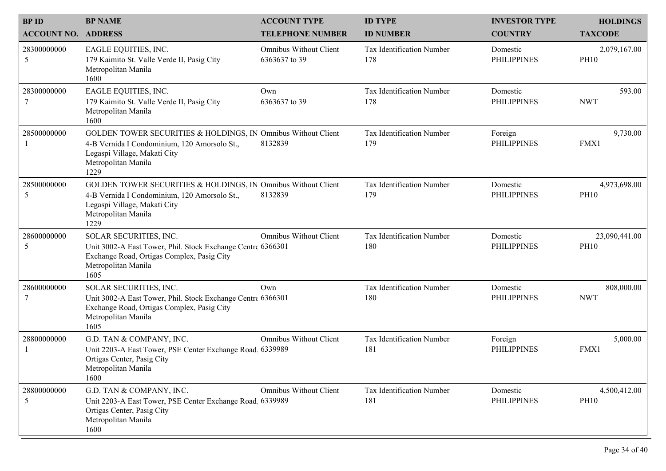| <b>BP NAME</b><br><b>ACCOUNT NO. ADDRESS</b>                                                                | <b>ACCOUNT TYPE</b><br><b>TELEPHONE NUMBER</b> | <b>ID TYPE</b><br><b>ID NUMBER</b>                                                                                                                                                                                                                                                                                                                                                     | <b>INVESTOR TYPE</b><br><b>COUNTRY</b> | <b>HOLDINGS</b><br><b>TAXCODE</b> |
|-------------------------------------------------------------------------------------------------------------|------------------------------------------------|----------------------------------------------------------------------------------------------------------------------------------------------------------------------------------------------------------------------------------------------------------------------------------------------------------------------------------------------------------------------------------------|----------------------------------------|-----------------------------------|
| EAGLE EQUITIES, INC.<br>179 Kaimito St. Valle Verde II, Pasig City<br>Metropolitan Manila<br>1600           | <b>Omnibus Without Client</b><br>6363637 to 39 | Tax Identification Number<br>178                                                                                                                                                                                                                                                                                                                                                       | Domestic<br><b>PHILIPPINES</b>         | 2,079,167.00<br><b>PH10</b>       |
| EAGLE EQUITIES, INC.<br>179 Kaimito St. Valle Verde II, Pasig City<br>Metropolitan Manila<br>1600           | Own<br>6363637 to 39                           | Tax Identification Number<br>178                                                                                                                                                                                                                                                                                                                                                       | Domestic<br><b>PHILIPPINES</b>         | 593.00<br><b>NWT</b>              |
| 4-B Vernida I Condominium, 120 Amorsolo St.,<br>Legaspi Village, Makati City<br>Metropolitan Manila<br>1229 | 8132839                                        | Tax Identification Number<br>179                                                                                                                                                                                                                                                                                                                                                       | Foreign<br><b>PHILIPPINES</b>          | 9,730.00<br>FMX1                  |
| 4-B Vernida I Condominium, 120 Amorsolo St.,<br>Legaspi Village, Makati City<br>Metropolitan Manila<br>1229 | 8132839                                        | Tax Identification Number<br>179                                                                                                                                                                                                                                                                                                                                                       | Domestic<br><b>PHILIPPINES</b>         | 4,973,698.00<br><b>PH10</b>       |
| SOLAR SECURITIES, INC.<br>Exchange Road, Ortigas Complex, Pasig City<br>Metropolitan Manila<br>1605         | <b>Omnibus Without Client</b>                  | Tax Identification Number<br>180                                                                                                                                                                                                                                                                                                                                                       | Domestic<br><b>PHILIPPINES</b>         | 23,090,441.00<br><b>PH10</b>      |
| SOLAR SECURITIES, INC.<br>Exchange Road, Ortigas Complex, Pasig City<br>Metropolitan Manila<br>1605         | Own                                            | Tax Identification Number<br>180                                                                                                                                                                                                                                                                                                                                                       | Domestic<br><b>PHILIPPINES</b>         | 808,000.00<br><b>NWT</b>          |
| G.D. TAN & COMPANY, INC.<br>Ortigas Center, Pasig City<br>Metropolitan Manila<br>1600                       | Omnibus Without Client                         | Tax Identification Number<br>181                                                                                                                                                                                                                                                                                                                                                       | Foreign<br><b>PHILIPPINES</b>          | 5,000.00<br>FMX1                  |
| G.D. TAN & COMPANY, INC.<br>Ortigas Center, Pasig City<br>Metropolitan Manila<br>1600                       | Omnibus Without Client                         | Tax Identification Number<br>181                                                                                                                                                                                                                                                                                                                                                       | Domestic<br><b>PHILIPPINES</b>         | 4,500,412.00<br><b>PH10</b>       |
|                                                                                                             |                                                | GOLDEN TOWER SECURITIES & HOLDINGS, IN Omnibus Without Client<br>GOLDEN TOWER SECURITIES & HOLDINGS, IN Omnibus Without Client<br>Unit 3002-A East Tower, Phil. Stock Exchange Centre 6366301<br>Unit 3002-A East Tower, Phil. Stock Exchange Centre 6366301<br>Unit 2203-A East Tower, PSE Center Exchange Road, 6339989<br>Unit 2203-A East Tower, PSE Center Exchange Road, 6339989 |                                        |                                   |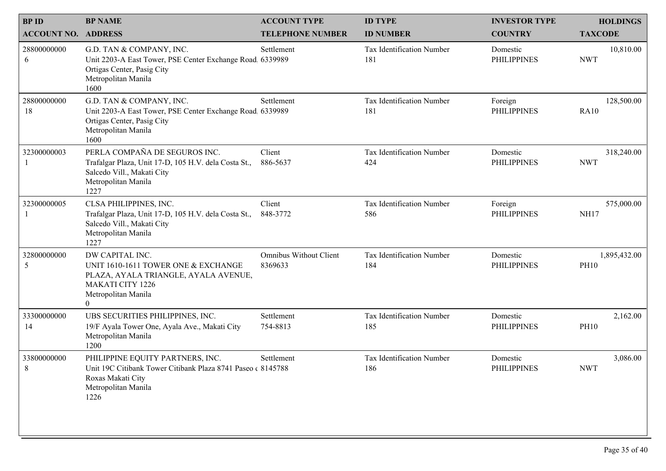| <b>BPID</b>                | <b>BP NAME</b>                                                                                                                                              | <b>ACCOUNT TYPE</b>                      | <b>ID TYPE</b>                          | <b>INVESTOR TYPE</b>           |                                   |
|----------------------------|-------------------------------------------------------------------------------------------------------------------------------------------------------------|------------------------------------------|-----------------------------------------|--------------------------------|-----------------------------------|
| <b>ACCOUNT NO. ADDRESS</b> |                                                                                                                                                             | <b>TELEPHONE NUMBER</b>                  | <b>ID NUMBER</b>                        | <b>COUNTRY</b>                 | <b>HOLDINGS</b><br><b>TAXCODE</b> |
| 28800000000<br>6           | G.D. TAN & COMPANY, INC.<br>Unit 2203-A East Tower, PSE Center Exchange Road, 6339989<br>Ortigas Center, Pasig City<br>Metropolitan Manila<br>1600          | Settlement                               | Tax Identification Number<br>181        | Domestic<br><b>PHILIPPINES</b> | 10,810.00<br><b>NWT</b>           |
| 28800000000<br>18          | G.D. TAN & COMPANY, INC.<br>Unit 2203-A East Tower, PSE Center Exchange Road. 6339989<br>Ortigas Center, Pasig City<br>Metropolitan Manila<br>1600          | Settlement                               | <b>Tax Identification Number</b><br>181 | Foreign<br><b>PHILIPPINES</b>  | 128,500.00<br><b>RA10</b>         |
| 32300000003                | PERLA COMPAÑA DE SEGUROS INC.<br>Trafalgar Plaza, Unit 17-D, 105 H.V. dela Costa St.,<br>Salcedo Vill., Makati City<br>Metropolitan Manila<br>1227          | Client<br>886-5637                       | Tax Identification Number<br>424        | Domestic<br><b>PHILIPPINES</b> | 318,240.00<br><b>NWT</b>          |
| 32300000005                | CLSA PHILIPPINES, INC.<br>Trafalgar Plaza, Unit 17-D, 105 H.V. dela Costa St.,<br>Salcedo Vill., Makati City<br>Metropolitan Manila<br>1227                 | Client<br>848-3772                       | Tax Identification Number<br>586        | Foreign<br><b>PHILIPPINES</b>  | 575,000.00<br><b>NH17</b>         |
| 32800000000<br>5           | DW CAPITAL INC.<br>UNIT 1610-1611 TOWER ONE & EXCHANGE<br>PLAZA, AYALA TRIANGLE, AYALA AVENUE,<br>MAKATI CITY 1226<br>Metropolitan Manila<br>$\overline{0}$ | <b>Omnibus Without Client</b><br>8369633 | Tax Identification Number<br>184        | Domestic<br><b>PHILIPPINES</b> | 1,895,432.00<br><b>PH10</b>       |
| 33300000000<br>14          | UBS SECURITIES PHILIPPINES, INC.<br>19/F Ayala Tower One, Ayala Ave., Makati City<br>Metropolitan Manila<br>1200                                            | Settlement<br>754-8813                   | Tax Identification Number<br>185        | Domestic<br><b>PHILIPPINES</b> | 2,162.00<br><b>PH10</b>           |
| 33800000000<br>8           | PHILIPPINE EQUITY PARTNERS, INC.<br>Unit 19C Citibank Tower Citibank Plaza 8741 Paseo c 8145788<br>Roxas Makati City<br>Metropolitan Manila<br>1226         | Settlement                               | Tax Identification Number<br>186        | Domestic<br><b>PHILIPPINES</b> | 3,086.00<br><b>NWT</b>            |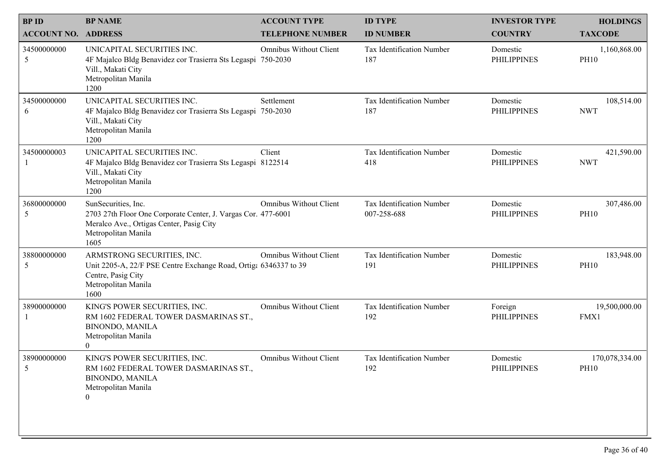| <b>BPID</b><br><b>ACCOUNT NO. ADDRESS</b> | <b>BP NAME</b>                                                                                                                                                  | <b>ACCOUNT TYPE</b><br><b>TELEPHONE NUMBER</b> | <b>ID TYPE</b><br><b>ID NUMBER</b>       | <b>INVESTOR TYPE</b><br><b>COUNTRY</b> | <b>HOLDINGS</b><br><b>TAXCODE</b> |
|-------------------------------------------|-----------------------------------------------------------------------------------------------------------------------------------------------------------------|------------------------------------------------|------------------------------------------|----------------------------------------|-----------------------------------|
| 34500000000<br>5                          | UNICAPITAL SECURITIES INC.<br>4F Majalco Bldg Benavidez cor Trasierra Sts Legaspi<br>Vill., Makati City<br>Metropolitan Manila<br>1200                          | Omnibus Without Client<br>750-2030             | Tax Identification Number<br>187         | Domestic<br><b>PHILIPPINES</b>         | 1,160,868.00<br><b>PH10</b>       |
| 34500000000<br>6                          | UNICAPITAL SECURITIES INC.<br>4F Majalco Bldg Benavidez cor Trasierra Sts Legaspi 750-2030<br>Vill., Makati City<br>Metropolitan Manila<br>1200                 | Settlement                                     | Tax Identification Number<br>187         | Domestic<br><b>PHILIPPINES</b>         | 108,514.00<br><b>NWT</b>          |
| 34500000003                               | UNICAPITAL SECURITIES INC.<br>4F Majalco Bldg Benavidez cor Trasierra Sts Legaspi 8122514<br>Vill., Makati City<br>Metropolitan Manila<br>1200                  | Client                                         | Tax Identification Number<br>418         | Domestic<br><b>PHILIPPINES</b>         | 421,590.00<br><b>NWT</b>          |
| 36800000000<br>5                          | SunSecurities, Inc.<br>2703 27th Floor One Corporate Center, J. Vargas Cor. 477-6001<br>Meralco Ave., Ortigas Center, Pasig City<br>Metropolitan Manila<br>1605 | <b>Omnibus Without Client</b>                  | Tax Identification Number<br>007-258-688 | Domestic<br><b>PHILIPPINES</b>         | 307,486.00<br><b>PH10</b>         |
| 38800000000<br>5                          | ARMSTRONG SECURITIES, INC.<br>Unit 2205-A, 22/F PSE Centre Exchange Road, Ortiga 6346337 to 39<br>Centre, Pasig City<br>Metropolitan Manila<br>1600             | <b>Omnibus Without Client</b>                  | Tax Identification Number<br>191         | Domestic<br><b>PHILIPPINES</b>         | 183,948.00<br><b>PH10</b>         |
| 38900000000                               | KING'S POWER SECURITIES, INC.<br>RM 1602 FEDERAL TOWER DASMARINAS ST.,<br><b>BINONDO, MANILA</b><br>Metropolitan Manila<br>$\overline{0}$                       | <b>Omnibus Without Client</b>                  | Tax Identification Number<br>192         | Foreign<br><b>PHILIPPINES</b>          | 19,500,000.00<br>FMX1             |
| 38900000000<br>5                          | KING'S POWER SECURITIES, INC.<br>RM 1602 FEDERAL TOWER DASMARINAS ST.,<br><b>BINONDO, MANILA</b><br>Metropolitan Manila<br>$\overline{0}$                       | <b>Omnibus Without Client</b>                  | Tax Identification Number<br>192         | Domestic<br><b>PHILIPPINES</b>         | 170,078,334.00<br><b>PH10</b>     |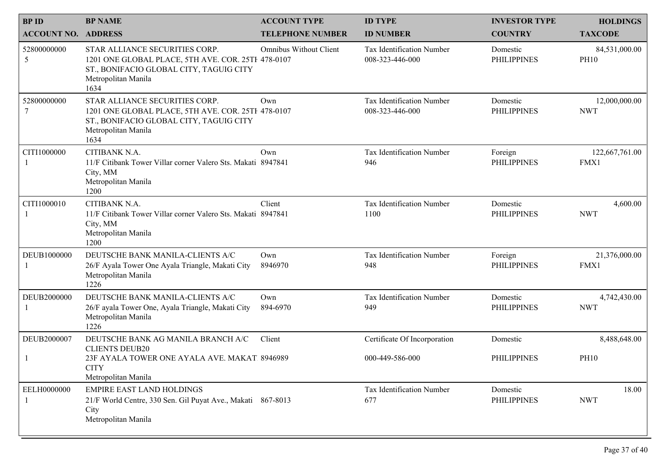| <b>BPID</b><br><b>ACCOUNT NO. ADDRESS</b> | <b>BP NAME</b>                                                                                                                                                 | <b>ACCOUNT TYPE</b><br><b>TELEPHONE NUMBER</b> | <b>ID TYPE</b><br><b>ID NUMBER</b>              | <b>INVESTOR TYPE</b><br><b>COUNTRY</b> | <b>HOLDINGS</b><br><b>TAXCODE</b> |  |
|-------------------------------------------|----------------------------------------------------------------------------------------------------------------------------------------------------------------|------------------------------------------------|-------------------------------------------------|----------------------------------------|-----------------------------------|--|
| 52800000000<br>5                          | STAR ALLIANCE SECURITIES CORP.<br>1201 ONE GLOBAL PLACE, 5TH AVE. COR. 25TH 478-0107<br>ST., BONIFACIO GLOBAL CITY, TAGUIG CITY<br>Metropolitan Manila<br>1634 | <b>Omnibus Without Client</b>                  | Tax Identification Number<br>008-323-446-000    | Domestic<br><b>PHILIPPINES</b>         | 84,531,000.00<br><b>PH10</b>      |  |
| 52800000000<br>7                          | STAR ALLIANCE SECURITIES CORP.<br>1201 ONE GLOBAL PLACE, 5TH AVE. COR. 25TH 478-0107<br>ST., BONIFACIO GLOBAL CITY, TAGUIG CITY<br>Metropolitan Manila<br>1634 | Own                                            | Tax Identification Number<br>008-323-446-000    | Domestic<br><b>PHILIPPINES</b>         | 12,000,000.00<br><b>NWT</b>       |  |
| CITI1000000                               | CITIBANK N.A.<br>11/F Citibank Tower Villar corner Valero Sts. Makati 8947841<br>City, MM<br>Metropolitan Manila<br>1200                                       | Own                                            | Tax Identification Number<br>946                | Foreign<br><b>PHILIPPINES</b>          | 122,667,761.00<br>FMX1            |  |
| CITI1000010                               | CITIBANK N.A.<br>11/F Citibank Tower Villar corner Valero Sts. Makati 8947841<br>City, MM<br>Metropolitan Manila<br>1200                                       | Client                                         | Tax Identification Number<br>1100               | Domestic<br><b>PHILIPPINES</b>         | 4,600.00<br><b>NWT</b>            |  |
| DEUB1000000                               | DEUTSCHE BANK MANILA-CLIENTS A/C<br>26/F Ayala Tower One Ayala Triangle, Makati City<br>Metropolitan Manila<br>1226                                            | Own<br>8946970                                 | Tax Identification Number<br>948                | Foreign<br><b>PHILIPPINES</b>          | 21,376,000.00<br>FMX1             |  |
| DEUB2000000                               | DEUTSCHE BANK MANILA-CLIENTS A/C<br>26/F ayala Tower One, Ayala Triangle, Makati City<br>Metropolitan Manila<br>1226                                           | Own<br>894-6970                                | Tax Identification Number<br>949                | Domestic<br><b>PHILIPPINES</b>         | 4,742,430.00<br><b>NWT</b>        |  |
| DEUB2000007                               | DEUTSCHE BANK AG MANILA BRANCH A/C<br><b>CLIENTS DEUB20</b><br>23F AYALA TOWER ONE AYALA AVE. MAKAT. 8946989<br><b>CITY</b><br>Metropolitan Manila             | Client                                         | Certificate Of Incorporation<br>000-449-586-000 | Domestic<br><b>PHILIPPINES</b>         | 8,488,648.00<br><b>PH10</b>       |  |
| EELH0000000                               | <b>EMPIRE EAST LAND HOLDINGS</b><br>21/F World Centre, 330 Sen. Gil Puyat Ave., Makati 867-8013<br>City<br>Metropolitan Manila                                 |                                                | Tax Identification Number<br>677                | Domestic<br><b>PHILIPPINES</b>         | 18.00<br><b>NWT</b>               |  |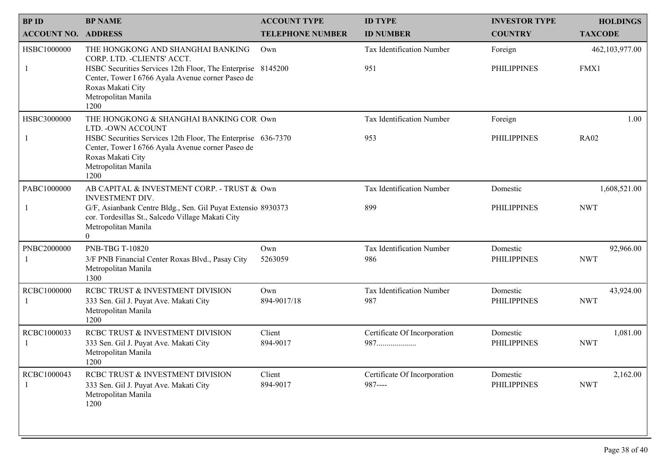| <b>BPID</b>                | <b>BP NAME</b>                                                                                                                                                                                                                           | <b>ACCOUNT TYPE</b>     | <b>ID TYPE</b>                           | <b>INVESTOR TYPE</b>           | <b>HOLDINGS</b>            |
|----------------------------|------------------------------------------------------------------------------------------------------------------------------------------------------------------------------------------------------------------------------------------|-------------------------|------------------------------------------|--------------------------------|----------------------------|
| <b>ACCOUNT NO. ADDRESS</b> |                                                                                                                                                                                                                                          | <b>TELEPHONE NUMBER</b> | <b>ID NUMBER</b>                         | <b>COUNTRY</b>                 | <b>TAXCODE</b>             |
| HSBC1000000                | THE HONGKONG AND SHANGHAI BANKING<br>CORP. LTD. - CLIENTS' ACCT.<br>HSBC Securities Services 12th Floor, The Enterprise 8145200<br>Center, Tower I 6766 Ayala Avenue corner Paseo de<br>Roxas Makati City<br>Metropolitan Manila<br>1200 | Own                     | Tax Identification Number<br>951         | Foreign<br><b>PHILIPPINES</b>  | 462,103,977.00<br>FMX1     |
| HSBC3000000                | THE HONGKONG & SHANGHAI BANKING COR Own<br>LTD. - OWN ACCOUNT<br>HSBC Securities Services 12th Floor, The Enterprise 636-7370<br>Center, Tower I 6766 Ayala Avenue corner Paseo de<br>Roxas Makati City<br>Metropolitan Manila<br>1200   |                         | Tax Identification Number<br>953         | Foreign<br><b>PHILIPPINES</b>  | 1.00<br><b>RA02</b>        |
| PABC1000000                | AB CAPITAL & INVESTMENT CORP. - TRUST & Own<br><b>INVESTMENT DIV.</b><br>G/F, Asianbank Centre Bldg., Sen. Gil Puyat Extensio 8930373<br>cor. Tordesillas St., Salcedo Village Makati City<br>Metropolitan Manila<br>$\theta$            |                         | Tax Identification Number<br>899         | Domestic<br><b>PHILIPPINES</b> | 1,608,521.00<br><b>NWT</b> |
| PNBC2000000                | PNB-TBG T-10820<br>3/F PNB Financial Center Roxas Blvd., Pasay City<br>Metropolitan Manila<br>1300                                                                                                                                       | Own<br>5263059          | Tax Identification Number<br>986         | Domestic<br><b>PHILIPPINES</b> | 92,966.00<br><b>NWT</b>    |
| RCBC1000000                | RCBC TRUST & INVESTMENT DIVISION<br>333 Sen. Gil J. Puyat Ave. Makati City<br>Metropolitan Manila<br>1200                                                                                                                                | Own<br>894-9017/18      | Tax Identification Number<br>987         | Domestic<br><b>PHILIPPINES</b> | 43,924.00<br><b>NWT</b>    |
| RCBC1000033                | RCBC TRUST & INVESTMENT DIVISION<br>333 Sen. Gil J. Puyat Ave. Makati City<br>Metropolitan Manila<br>1200                                                                                                                                | Client<br>894-9017      | Certificate Of Incorporation<br>987      | Domestic<br><b>PHILIPPINES</b> | 1,081.00<br><b>NWT</b>     |
| RCBC1000043                | RCBC TRUST & INVESTMENT DIVISION<br>333 Sen. Gil J. Puyat Ave. Makati City<br>Metropolitan Manila<br>1200                                                                                                                                | Client<br>894-9017      | Certificate Of Incorporation<br>$987---$ | Domestic<br><b>PHILIPPINES</b> | 2,162.00<br><b>NWT</b>     |